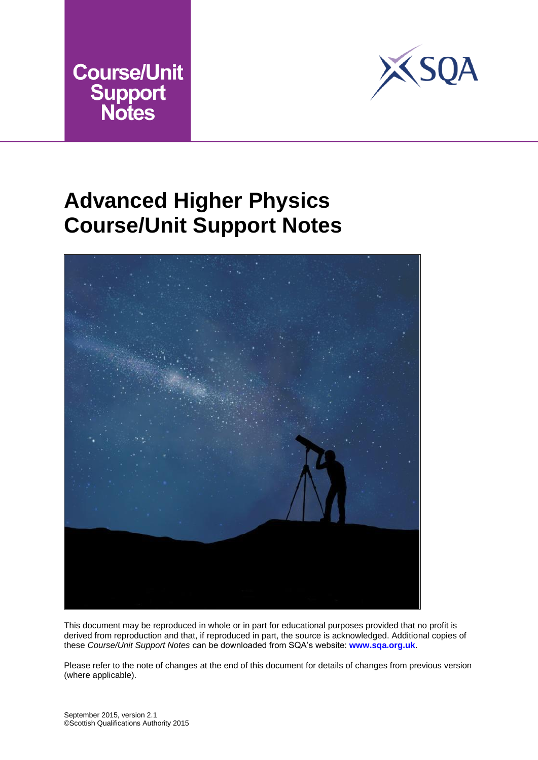



# **Advanced Higher Physics Course/Unit Support Notes**



This document may be reproduced in whole or in part for educational purposes provided that no profit is derived from reproduction and that, if reproduced in part, the source is acknowledged. Additional copies of these *Course/Unit Support Notes* can be downloaded from SQA's website: **www.sqa.org.uk**.

Please refer to the note of changes at the end of this document for details of changes from previous version (where applicable).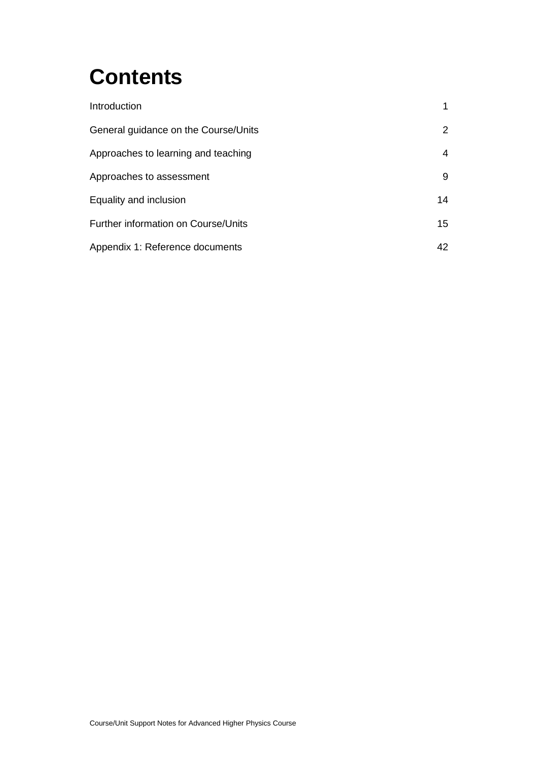# **Contents**

| Introduction                         | 1  |
|--------------------------------------|----|
| General guidance on the Course/Units | 2  |
| Approaches to learning and teaching  | 4  |
| Approaches to assessment             | 9  |
| Equality and inclusion               | 14 |
| Further information on Course/Units  | 15 |
| Appendix 1: Reference documents      | 42 |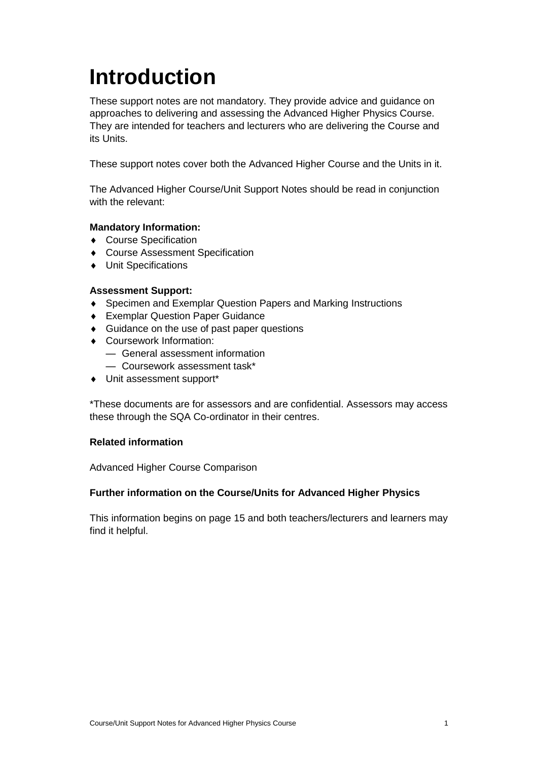# <span id="page-2-0"></span>**Introduction**

These support notes are not mandatory. They provide advice and guidance on approaches to delivering and assessing the Advanced Higher Physics Course. They are intended for teachers and lecturers who are delivering the Course and its Units.

These support notes cover both the Advanced Higher Course and the Units in it.

The Advanced Higher Course/Unit Support Notes should be read in conjunction with the relevant:

## **Mandatory Information:**

- ◆ Course Specification
- ◆ Course Assessment Specification
- Unit Specifications

#### **Assessment Support:**

- Specimen and Exemplar Question Papers and Marking Instructions
- Exemplar Question Paper Guidance
- ◆ Guidance on the use of past paper questions
- Coursework Information:
	- General assessment information
	- Coursework assessment task\*
- Unit assessment support\*

\*These documents are for assessors and are confidential. Assessors may access these through the SQA Co-ordinator in their centres.

### **Related information**

Advanced Higher Course Comparison

#### **Further information on the Course/Units for Advanced Higher Physics**

This information begins on page 15 and both teachers/lecturers and learners may find it helpful.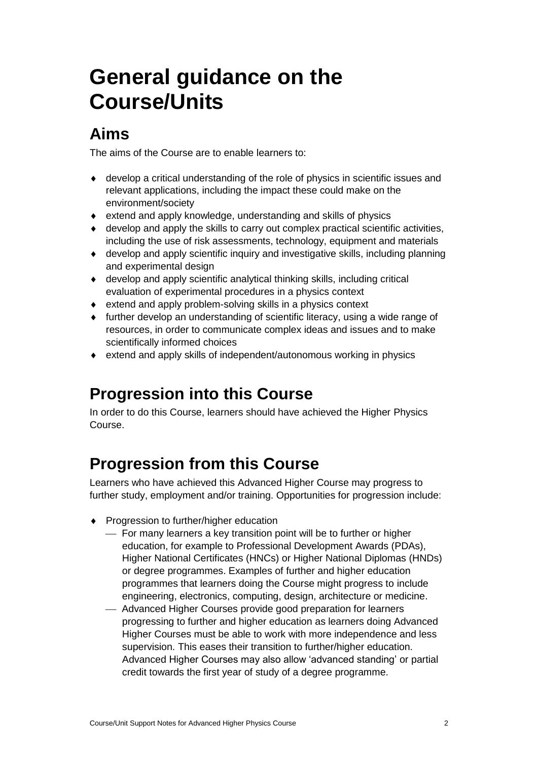# <span id="page-3-0"></span>**General guidance on the Course/Units**

# **Aims**

The aims of the Course are to enable learners to:

- develop a critical understanding of the role of physics in scientific issues and relevant applications, including the impact these could make on the environment/society
- extend and apply knowledge, understanding and skills of physics
- develop and apply the skills to carry out complex practical scientific activities, including the use of risk assessments, technology, equipment and materials
- develop and apply scientific inquiry and investigative skills, including planning and experimental design
- develop and apply scientific analytical thinking skills, including critical evaluation of experimental procedures in a physics context
- extend and apply problem-solving skills in a physics context
- further develop an understanding of scientific literacy, using a wide range of resources, in order to communicate complex ideas and issues and to make scientifically informed choices
- extend and apply skills of independent/autonomous working in physics

# **Progression into this Course**

In order to do this Course, learners should have achieved the Higher Physics Course.

# **Progression from this Course**

Learners who have achieved this Advanced Higher Course may progress to further study, employment and/or training. Opportunities for progression include:

- ◆ Progression to further/higher education
	- For many learners a key transition point will be to further or higher education, for example to Professional Development Awards (PDAs), Higher National Certificates (HNCs) or Higher National Diplomas (HNDs) or degree programmes. Examples of further and higher education programmes that learners doing the Course might progress to include engineering, electronics, computing, design, architecture or medicine.
	- Advanced Higher Courses provide good preparation for learners progressing to further and higher education as learners doing Advanced Higher Courses must be able to work with more independence and less supervision. This eases their transition to further/higher education. Advanced Higher Courses may also allow 'advanced standing' or partial credit towards the first year of study of a degree programme.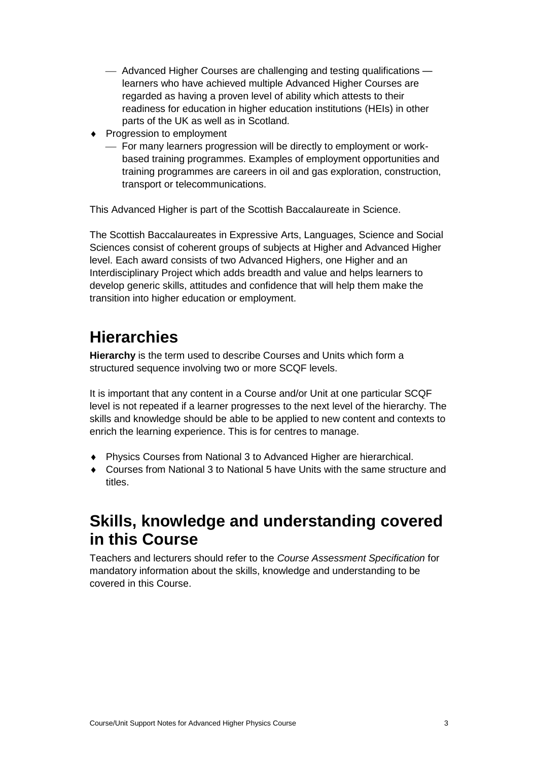- Advanced Higher Courses are challenging and testing qualifications learners who have achieved multiple Advanced Higher Courses are regarded as having a proven level of ability which attests to their readiness for education in higher education institutions (HEIs) in other parts of the UK as well as in Scotland.
- Progression to employment
	- For many learners progression will be directly to employment or workbased training programmes. Examples of employment opportunities and training programmes are careers in oil and gas exploration, construction, transport or telecommunications.

This Advanced Higher is part of the Scottish Baccalaureate in Science.

The Scottish Baccalaureates in Expressive Arts, Languages, Science and Social Sciences consist of coherent groups of subjects at Higher and Advanced Higher level. Each award consists of two Advanced Highers, one Higher and an Interdisciplinary Project which adds breadth and value and helps learners to develop generic skills, attitudes and confidence that will help them make the transition into higher education or employment.

# **Hierarchies**

**Hierarchy** is the term used to describe Courses and Units which form a structured sequence involving two or more SCQF levels.

It is important that any content in a Course and/or Unit at one particular SCQF level is not repeated if a learner progresses to the next level of the hierarchy. The skills and knowledge should be able to be applied to new content and contexts to enrich the learning experience. This is for centres to manage.

- Physics Courses from National 3 to Advanced Higher are hierarchical.
- Courses from National 3 to National 5 have Units with the same structure and titles.

## **Skills, knowledge and understanding covered in this Course**

Teachers and lecturers should refer to the *Course Assessment Specification* for mandatory information about the skills, knowledge and understanding to be covered in this Course.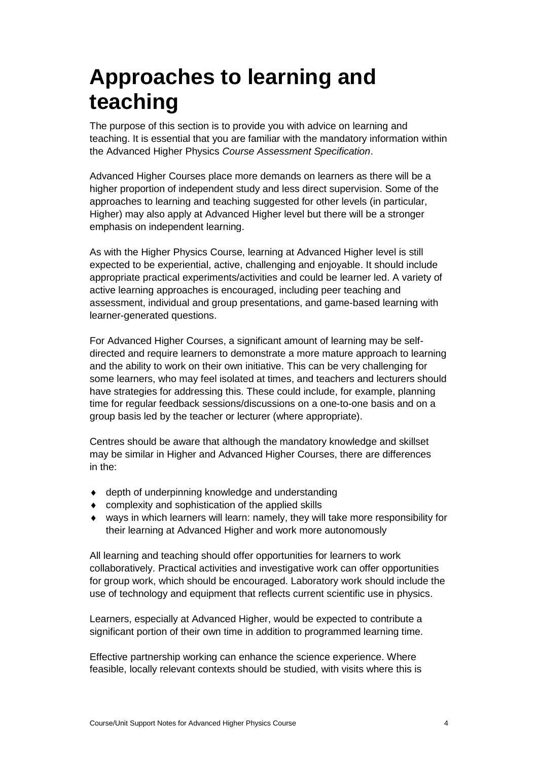# <span id="page-5-0"></span>**Approaches to learning and teaching**

The purpose of this section is to provide you with advice on learning and teaching. It is essential that you are familiar with the mandatory information within the Advanced Higher Physics *Course Assessment Specification*.

Advanced Higher Courses place more demands on learners as there will be a higher proportion of independent study and less direct supervision. Some of the approaches to learning and teaching suggested for other levels (in particular, Higher) may also apply at Advanced Higher level but there will be a stronger emphasis on independent learning.

As with the Higher Physics Course, learning at Advanced Higher level is still expected to be experiential, active, challenging and enjoyable. It should include appropriate practical experiments/activities and could be learner led. A variety of active learning approaches is encouraged, including peer teaching and assessment, individual and group presentations, and game-based learning with learner-generated questions.

For Advanced Higher Courses, a significant amount of learning may be selfdirected and require learners to demonstrate a more mature approach to learning and the ability to work on their own initiative. This can be very challenging for some learners, who may feel isolated at times, and teachers and lecturers should have strategies for addressing this. These could include, for example, planning time for regular feedback sessions/discussions on a one-to-one basis and on a group basis led by the teacher or lecturer (where appropriate).

Centres should be aware that although the mandatory knowledge and skillset may be similar in Higher and Advanced Higher Courses, there are differences in the:

- depth of underpinning knowledge and understanding
- complexity and sophistication of the applied skills
- ways in which learners will learn: namely, they will take more responsibility for their learning at Advanced Higher and work more autonomously

All learning and teaching should offer opportunities for learners to work collaboratively. Practical activities and investigative work can offer opportunities for group work, which should be encouraged. Laboratory work should include the use of technology and equipment that reflects current scientific use in physics.

Learners, especially at Advanced Higher, would be expected to contribute a significant portion of their own time in addition to programmed learning time.

Effective partnership working can enhance the science experience. Where feasible, locally relevant contexts should be studied, with visits where this is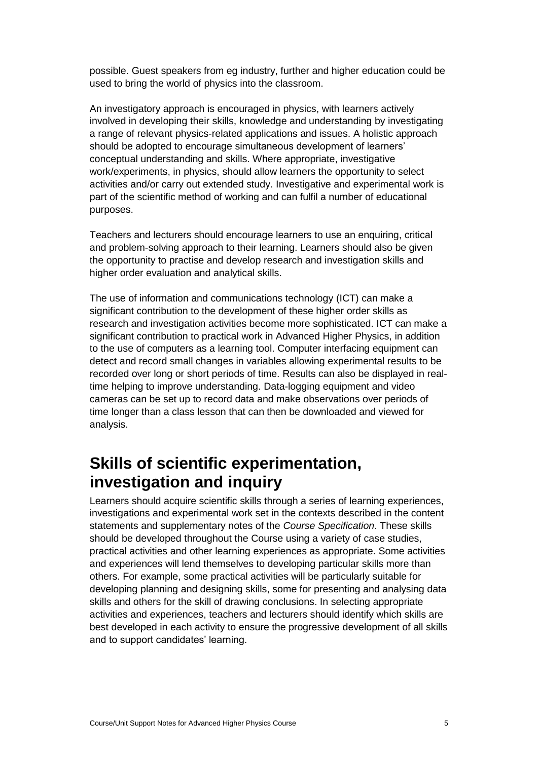possible. Guest speakers from eg industry, further and higher education could be used to bring the world of physics into the classroom.

An investigatory approach is encouraged in physics, with learners actively involved in developing their skills, knowledge and understanding by investigating a range of relevant physics-related applications and issues. A holistic approach should be adopted to encourage simultaneous development of learners' conceptual understanding and skills. Where appropriate, investigative work/experiments, in physics, should allow learners the opportunity to select activities and/or carry out extended study. Investigative and experimental work is part of the scientific method of working and can fulfil a number of educational purposes.

Teachers and lecturers should encourage learners to use an enquiring, critical and problem-solving approach to their learning. Learners should also be given the opportunity to practise and develop research and investigation skills and higher order evaluation and analytical skills.

The use of information and communications technology (ICT) can make a significant contribution to the development of these higher order skills as research and investigation activities become more sophisticated. ICT can make a significant contribution to practical work in Advanced Higher Physics, in addition to the use of computers as a learning tool. Computer interfacing equipment can detect and record small changes in variables allowing experimental results to be recorded over long or short periods of time. Results can also be displayed in realtime helping to improve understanding. Data-logging equipment and video cameras can be set up to record data and make observations over periods of time longer than a class lesson that can then be downloaded and viewed for analysis.

## **Skills of scientific experimentation, investigation and inquiry**

Learners should acquire scientific skills through a series of learning experiences, investigations and experimental work set in the contexts described in the content statements and supplementary notes of the *Course Specification*. These skills should be developed throughout the Course using a variety of case studies, practical activities and other learning experiences as appropriate. Some activities and experiences will lend themselves to developing particular skills more than others. For example, some practical activities will be particularly suitable for developing planning and designing skills, some for presenting and analysing data skills and others for the skill of drawing conclusions. In selecting appropriate activities and experiences, teachers and lecturers should identify which skills are best developed in each activity to ensure the progressive development of all skills and to support candidates' learning.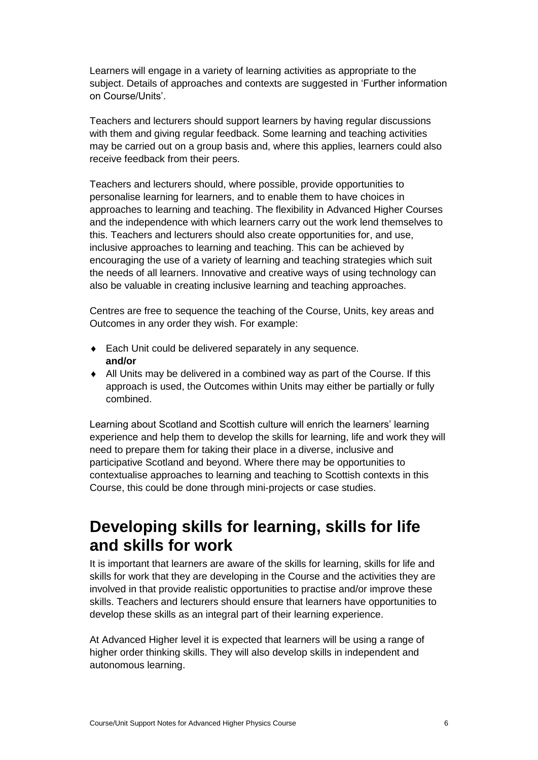Learners will engage in a variety of learning activities as appropriate to the subject. Details of approaches and contexts are suggested in 'Further information on Course/Units'.

Teachers and lecturers should support learners by having regular discussions with them and giving regular feedback. Some learning and teaching activities may be carried out on a group basis and, where this applies, learners could also receive feedback from their peers.

Teachers and lecturers should, where possible, provide opportunities to personalise learning for learners, and to enable them to have choices in approaches to learning and teaching. The flexibility in Advanced Higher Courses and the independence with which learners carry out the work lend themselves to this. Teachers and lecturers should also create opportunities for, and use, inclusive approaches to learning and teaching. This can be achieved by encouraging the use of a variety of learning and teaching strategies which suit the needs of all learners. Innovative and creative ways of using technology can also be valuable in creating inclusive learning and teaching approaches.

Centres are free to sequence the teaching of the Course, Units, key areas and Outcomes in any order they wish. For example:

- ◆ Each Unit could be delivered separately in any sequence. **and/or**
- All Units may be delivered in a combined way as part of the Course. If this approach is used, the Outcomes within Units may either be partially or fully combined.

Learning about Scotland and Scottish culture will enrich the learners' learning experience and help them to develop the skills for learning, life and work they will need to prepare them for taking their place in a diverse, inclusive and participative Scotland and beyond. Where there may be opportunities to contextualise approaches to learning and teaching to Scottish contexts in this Course, this could be done through mini-projects or case studies.

# **Developing skills for learning, skills for life and skills for work**

It is important that learners are aware of the skills for learning, skills for life and skills for work that they are developing in the Course and the activities they are involved in that provide realistic opportunities to practise and/or improve these skills. Teachers and lecturers should ensure that learners have opportunities to develop these skills as an integral part of their learning experience.

At Advanced Higher level it is expected that learners will be using a range of higher order thinking skills. They will also develop skills in independent and autonomous learning.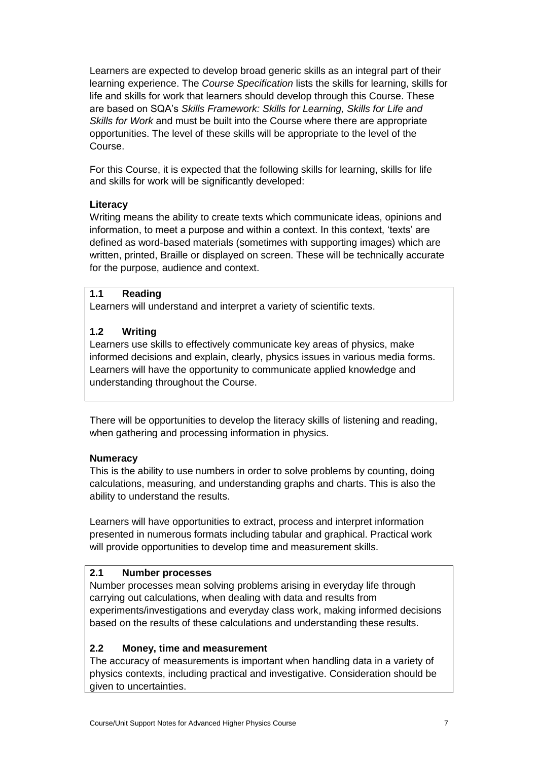Learners are expected to develop broad generic skills as an integral part of their learning experience. The *Course Specification* lists the skills for learning, skills for life and skills for work that learners should develop through this Course. These are based on SQA's *Skills Framework: Skills for Learning, Skills for Life and Skills for Work* and must be built into the Course where there are appropriate opportunities. The level of these skills will be appropriate to the level of the Course.

For this Course, it is expected that the following skills for learning, skills for life and skills for work will be significantly developed:

## **Literacy**

Writing means the ability to create texts which communicate ideas, opinions and information, to meet a purpose and within a context. In this context, 'texts' are defined as word-based materials (sometimes with supporting images) which are written, printed, Braille or displayed on screen. These will be technically accurate for the purpose, audience and context.

## **1.1 Reading**

Learners will understand and interpret a variety of scientific texts.

## **1.2 Writing**

Learners use skills to effectively communicate key areas of physics, make informed decisions and explain, clearly, physics issues in various media forms. Learners will have the opportunity to communicate applied knowledge and understanding throughout the Course.

There will be opportunities to develop the literacy skills of listening and reading, when gathering and processing information in physics.

### **Numeracy**

This is the ability to use numbers in order to solve problems by counting, doing calculations, measuring, and understanding graphs and charts. This is also the ability to understand the results.

Learners will have opportunities to extract, process and interpret information presented in numerous formats including tabular and graphical. Practical work will provide opportunities to develop time and measurement skills.

## **2.1 Number processes**

Number processes mean solving problems arising in everyday life through carrying out calculations, when dealing with data and results from experiments/investigations and everyday class work, making informed decisions based on the results of these calculations and understanding these results.

## **2.2 Money, time and measurement**

The accuracy of measurements is important when handling data in a variety of physics contexts, including practical and investigative. Consideration should be given to uncertainties.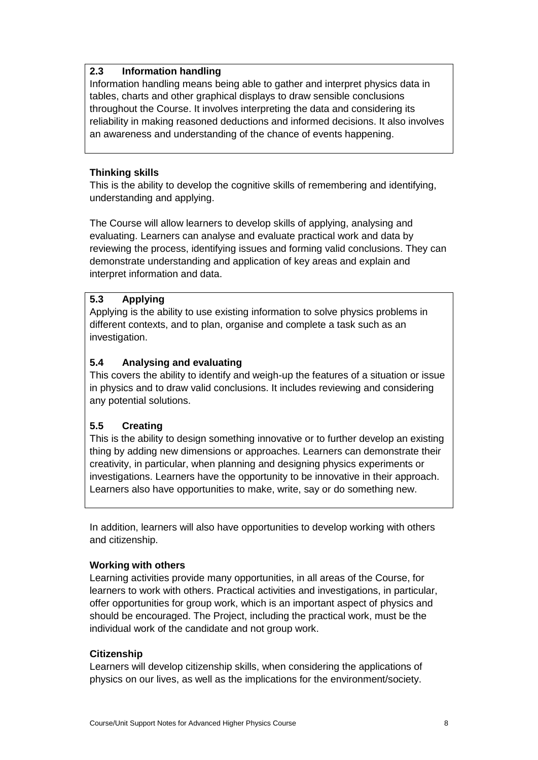## **2.3 Information handling**

Information handling means being able to gather and interpret physics data in tables, charts and other graphical displays to draw sensible conclusions throughout the Course. It involves interpreting the data and considering its reliability in making reasoned deductions and informed decisions. It also involves an awareness and understanding of the chance of events happening.

## **Thinking skills**

This is the ability to develop the cognitive skills of remembering and identifying, understanding and applying.

The Course will allow learners to develop skills of applying, analysing and evaluating. Learners can analyse and evaluate practical work and data by reviewing the process, identifying issues and forming valid conclusions. They can demonstrate understanding and application of key areas and explain and interpret information and data.

## **5.3 Applying**

Applying is the ability to use existing information to solve physics problems in different contexts, and to plan, organise and complete a task such as an investigation.

## **5.4 Analysing and evaluating**

This covers the ability to identify and weigh-up the features of a situation or issue in physics and to draw valid conclusions. It includes reviewing and considering any potential solutions.

## **5.5 Creating**

This is the ability to design something innovative or to further develop an existing thing by adding new dimensions or approaches. Learners can demonstrate their creativity, in particular, when planning and designing physics experiments or investigations. Learners have the opportunity to be innovative in their approach. Learners also have opportunities to make, write, say or do something new.

In addition, learners will also have opportunities to develop working with others and citizenship.

### **Working with others**

Learning activities provide many opportunities, in all areas of the Course, for learners to work with others. Practical activities and investigations, in particular, offer opportunities for group work, which is an important aspect of physics and should be encouraged. The Project, including the practical work, must be the individual work of the candidate and not group work.

### **Citizenship**

Learners will develop citizenship skills, when considering the applications of physics on our lives, as well as the implications for the environment/society.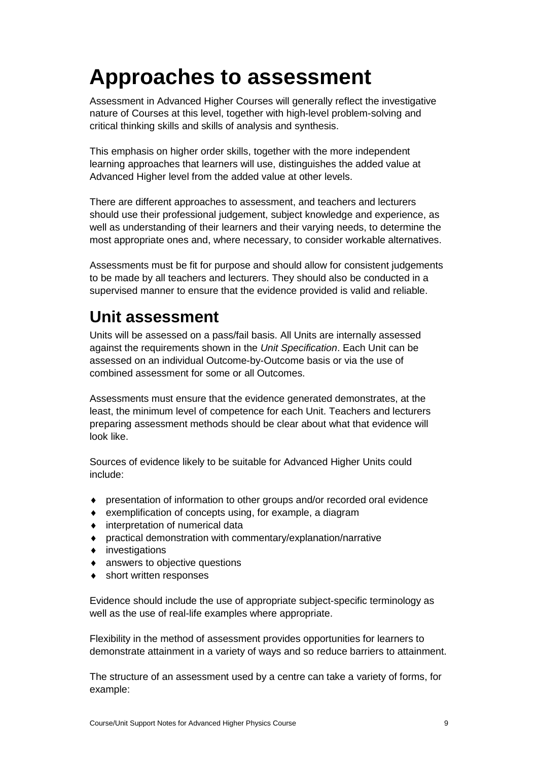# <span id="page-10-0"></span>**Approaches to assessment**

Assessment in Advanced Higher Courses will generally reflect the investigative nature of Courses at this level, together with high-level problem-solving and critical thinking skills and skills of analysis and synthesis.

This emphasis on higher order skills, together with the more independent learning approaches that learners will use, distinguishes the added value at Advanced Higher level from the added value at other levels.

There are different approaches to assessment, and teachers and lecturers should use their professional judgement, subject knowledge and experience, as well as understanding of their learners and their varying needs, to determine the most appropriate ones and, where necessary, to consider workable alternatives.

Assessments must be fit for purpose and should allow for consistent judgements to be made by all teachers and lecturers. They should also be conducted in a supervised manner to ensure that the evidence provided is valid and reliable.

# **Unit assessment**

Units will be assessed on a pass/fail basis. All Units are internally assessed against the requirements shown in the *Unit Specification*. Each Unit can be assessed on an individual Outcome-by-Outcome basis or via the use of combined assessment for some or all Outcomes.

Assessments must ensure that the evidence generated demonstrates, at the least, the minimum level of competence for each Unit. Teachers and lecturers preparing assessment methods should be clear about what that evidence will look like.

Sources of evidence likely to be suitable for Advanced Higher Units could include:

- presentation of information to other groups and/or recorded oral evidence
- exemplification of concepts using, for example, a diagram
- $\bullet$  interpretation of numerical data
- practical demonstration with commentary/explanation/narrative
- investigations
- answers to objective questions
- short written responses

Evidence should include the use of appropriate subject-specific terminology as well as the use of real-life examples where appropriate.

Flexibility in the method of assessment provides opportunities for learners to demonstrate attainment in a variety of ways and so reduce barriers to attainment.

The structure of an assessment used by a centre can take a variety of forms, for example: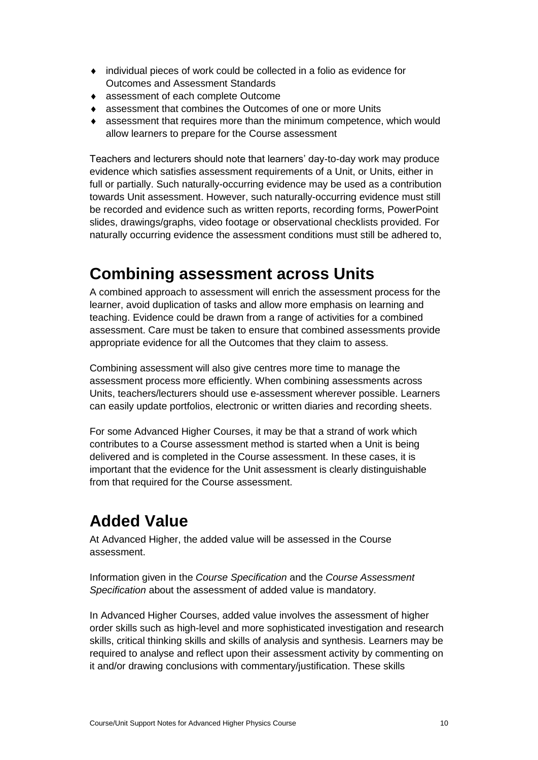- individual pieces of work could be collected in a folio as evidence for Outcomes and Assessment Standards
- ◆ assessment of each complete Outcome
- assessment that combines the Outcomes of one or more Units
- assessment that requires more than the minimum competence, which would allow learners to prepare for the Course assessment

Teachers and lecturers should note that learners' day-to-day work may produce evidence which satisfies assessment requirements of a Unit, or Units, either in full or partially. Such naturally-occurring evidence may be used as a contribution towards Unit assessment. However, such naturally-occurring evidence must still be recorded and evidence such as written reports, recording forms, PowerPoint slides, drawings/graphs, video footage or observational checklists provided. For naturally occurring evidence the assessment conditions must still be adhered to,

# **Combining assessment across Units**

A combined approach to assessment will enrich the assessment process for the learner, avoid duplication of tasks and allow more emphasis on learning and teaching. Evidence could be drawn from a range of activities for a combined assessment. Care must be taken to ensure that combined assessments provide appropriate evidence for all the Outcomes that they claim to assess.

Combining assessment will also give centres more time to manage the assessment process more efficiently. When combining assessments across Units, teachers/lecturers should use e-assessment wherever possible. Learners can easily update portfolios, electronic or written diaries and recording sheets.

For some Advanced Higher Courses, it may be that a strand of work which contributes to a Course assessment method is started when a Unit is being delivered and is completed in the Course assessment. In these cases, it is important that the evidence for the Unit assessment is clearly distinguishable from that required for the Course assessment.

# **Added Value**

At Advanced Higher, the added value will be assessed in the Course assessment.

Information given in the *Course Specification* and the *Course Assessment Specification* about the assessment of added value is mandatory.

In Advanced Higher Courses, added value involves the assessment of higher order skills such as high-level and more sophisticated investigation and research skills, critical thinking skills and skills of analysis and synthesis. Learners may be required to analyse and reflect upon their assessment activity by commenting on it and/or drawing conclusions with commentary/justification. These skills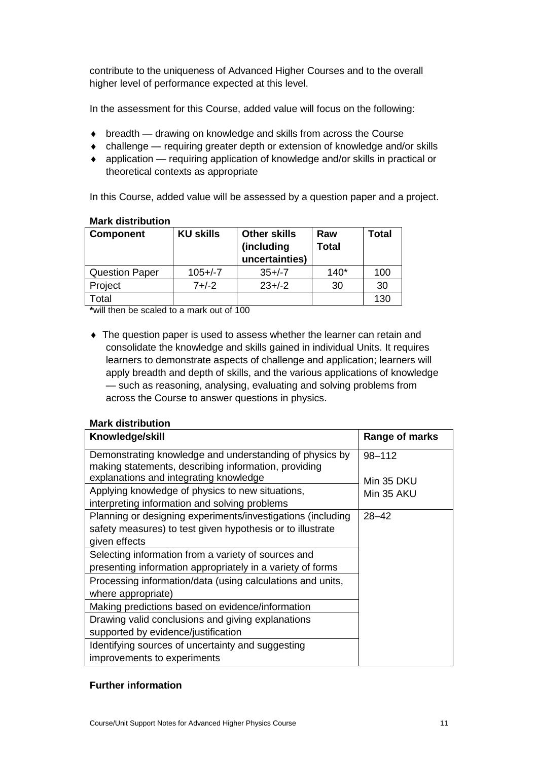contribute to the uniqueness of Advanced Higher Courses and to the overall higher level of performance expected at this level.

In the assessment for this Course, added value will focus on the following:

- breadth drawing on knowledge and skills from across the Course
- challenge requiring greater depth or extension of knowledge and/or skills
- application requiring application of knowledge and/or skills in practical or theoretical contexts as appropriate

In this Course, added value will be assessed by a question paper and a project.

| <b>Component</b>      | <b>KU skills</b> | <b>Other skills</b><br>(including<br>uncertainties) | Raw<br><b>Total</b> | Total |
|-----------------------|------------------|-----------------------------------------------------|---------------------|-------|
| <b>Question Paper</b> | $105 + (-7)$     | $35+/-7$                                            | $140*$              | 100   |
| Project               | $7 + (-2)$       | $23+/-2$                                            | 30                  | 30    |
| Гоtal                 |                  |                                                     |                     | 130   |

#### **Mark distribution**

**\***will then be scaled to a mark out of 100

 The question paper is used to assess whether the learner can retain and consolidate the knowledge and skills gained in individual Units. It requires learners to demonstrate aspects of challenge and application; learners will apply breadth and depth of skills, and the various applications of knowledge — such as reasoning, analysing, evaluating and solving problems from across the Course to answer questions in physics.

### **Mark distribution**

| Knowledge/skill                                                                                                 | Range of marks |
|-----------------------------------------------------------------------------------------------------------------|----------------|
| Demonstrating knowledge and understanding of physics by<br>making statements, describing information, providing | $98 - 112$     |
| explanations and integrating knowledge                                                                          | Min 35 DKU     |
| Applying knowledge of physics to new situations,                                                                | Min 35 AKU     |
| interpreting information and solving problems                                                                   |                |
| Planning or designing experiments/investigations (including                                                     | $28 - 42$      |
| safety measures) to test given hypothesis or to illustrate                                                      |                |
| given effects                                                                                                   |                |
| Selecting information from a variety of sources and                                                             |                |
| presenting information appropriately in a variety of forms                                                      |                |
| Processing information/data (using calculations and units,                                                      |                |
| where appropriate)                                                                                              |                |
| Making predictions based on evidence/information                                                                |                |
| Drawing valid conclusions and giving explanations                                                               |                |
| supported by evidence/justification                                                                             |                |
| Identifying sources of uncertainty and suggesting                                                               |                |
| improvements to experiments                                                                                     |                |

### **Further information**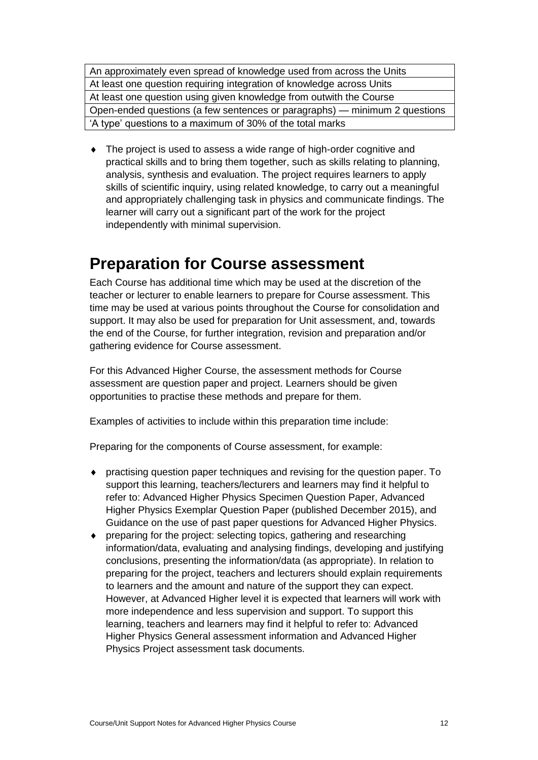An approximately even spread of knowledge used from across the Units At least one question requiring integration of knowledge across Units At least one question using given knowledge from outwith the Course Open-ended questions (a few sentences or paragraphs) — minimum 2 questions 'A type' questions to a maximum of 30% of the total marks

 The project is used to assess a wide range of high-order cognitive and practical skills and to bring them together, such as skills relating to planning, analysis, synthesis and evaluation. The project requires learners to apply skills of scientific inquiry, using related knowledge, to carry out a meaningful and appropriately challenging task in physics and communicate findings. The learner will carry out a significant part of the work for the project independently with minimal supervision.

## **Preparation for Course assessment**

Each Course has additional time which may be used at the discretion of the teacher or lecturer to enable learners to prepare for Course assessment. This time may be used at various points throughout the Course for consolidation and support. It may also be used for preparation for Unit assessment, and, towards the end of the Course, for further integration, revision and preparation and/or gathering evidence for Course assessment.

For this Advanced Higher Course, the assessment methods for Course assessment are question paper and project. Learners should be given opportunities to practise these methods and prepare for them.

Examples of activities to include within this preparation time include:

Preparing for the components of Course assessment, for example:

- practising question paper techniques and revising for the question paper. To support this learning, teachers/lecturers and learners may find it helpful to refer to: Advanced Higher Physics Specimen Question Paper, Advanced Higher Physics Exemplar Question Paper (published December 2015), and Guidance on the use of past paper questions for Advanced Higher Physics.
- preparing for the project: selecting topics, gathering and researching information/data, evaluating and analysing findings, developing and justifying conclusions, presenting the information/data (as appropriate). In relation to preparing for the project, teachers and lecturers should explain requirements to learners and the amount and nature of the support they can expect. However, at Advanced Higher level it is expected that learners will work with more independence and less supervision and support. To support this learning, teachers and learners may find it helpful to refer to: Advanced Higher Physics General assessment information and Advanced Higher Physics Project assessment task documents.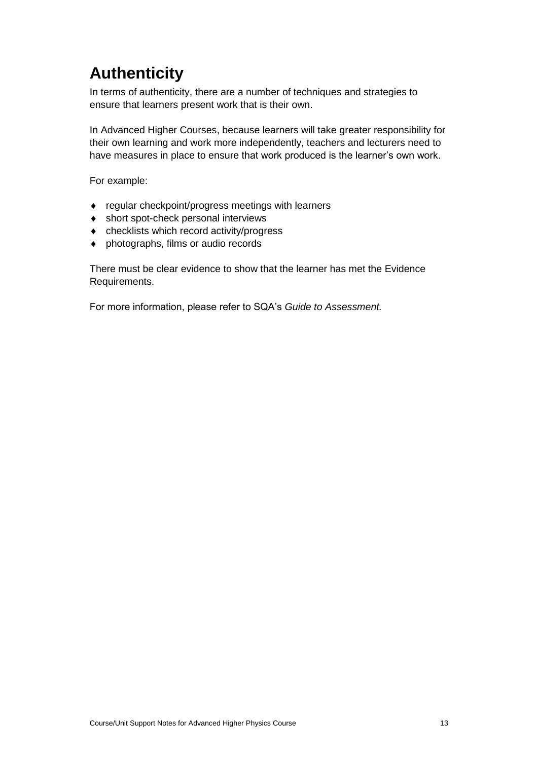# **Authenticity**

In terms of authenticity, there are a number of techniques and strategies to ensure that learners present work that is their own.

In Advanced Higher Courses, because learners will take greater responsibility for their own learning and work more independently, teachers and lecturers need to have measures in place to ensure that work produced is the learner's own work.

For example:

- regular checkpoint/progress meetings with learners
- ◆ short spot-check personal interviews
- checklists which record activity/progress
- ◆ photographs, films or audio records

There must be clear evidence to show that the learner has met the Evidence Requirements.

For more information, please refer to SQA's *Guide to Assessment.*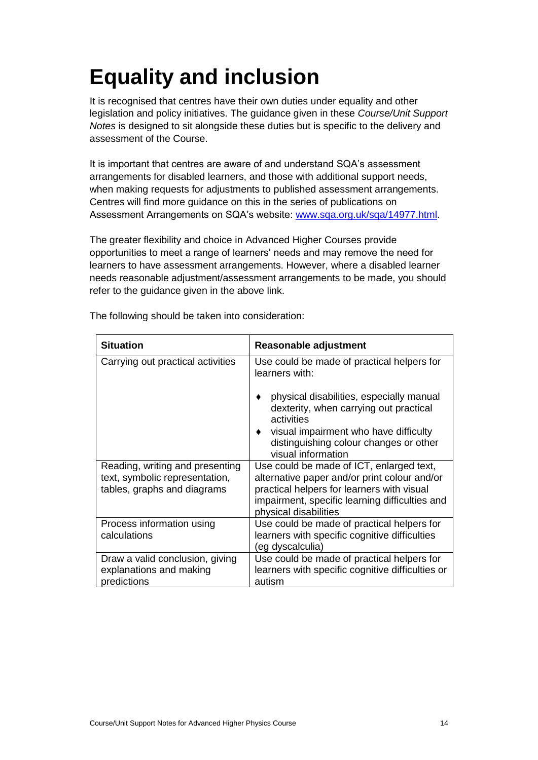# <span id="page-15-0"></span>**Equality and inclusion**

It is recognised that centres have their own duties under equality and other legislation and policy initiatives. The guidance given in these *Course/Unit Support Notes* is designed to sit alongside these duties but is specific to the delivery and assessment of the Course.

It is important that centres are aware of and understand SQA's assessment arrangements for disabled learners, and those with additional support needs, when making requests for adjustments to published assessment arrangements. Centres will find more guidance on this in the series of publications on Assessment Arrangements on SQA's website: [www.sqa.org.uk/sqa/14977.html.](http://www.sqa.org.uk/sqa/14977.html)

The greater flexibility and choice in Advanced Higher Courses provide opportunities to meet a range of learners' needs and may remove the need for learners to have assessment arrangements. However, where a disabled learner needs reasonable adjustment/assessment arrangements to be made, you should refer to the guidance given in the above link.

| <b>Situation</b>                                                                                 | <b>Reasonable adjustment</b>                                                                                                                                                                                      |
|--------------------------------------------------------------------------------------------------|-------------------------------------------------------------------------------------------------------------------------------------------------------------------------------------------------------------------|
| Carrying out practical activities                                                                | Use could be made of practical helpers for<br>learners with:                                                                                                                                                      |
|                                                                                                  | physical disabilities, especially manual<br>dexterity, when carrying out practical<br>activities                                                                                                                  |
|                                                                                                  | visual impairment who have difficulty<br>distinguishing colour changes or other<br>visual information                                                                                                             |
| Reading, writing and presenting<br>text, symbolic representation,<br>tables, graphs and diagrams | Use could be made of ICT, enlarged text,<br>alternative paper and/or print colour and/or<br>practical helpers for learners with visual<br>impairment, specific learning difficulties and<br>physical disabilities |
| Process information using<br>calculations                                                        | Use could be made of practical helpers for<br>learners with specific cognitive difficulties<br>(eg dyscalculia)                                                                                                   |
| Draw a valid conclusion, giving<br>explanations and making<br>predictions                        | Use could be made of practical helpers for<br>learners with specific cognitive difficulties or<br>autism                                                                                                          |

The following should be taken into consideration: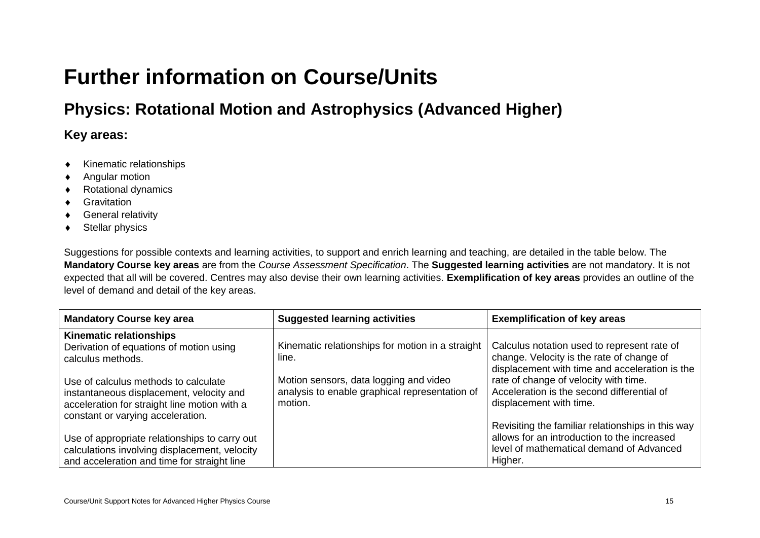# **Further information on Course/Units**

# **Physics: Rotational Motion and Astrophysics (Advanced Higher)**

## **Key areas:**

- $\leftarrow$  Kinematic relationships
- Angular motion
- ◆ Rotational dynamics
- **◆** Gravitation
- ◆ General relativity
- ◆ Stellar physics

Suggestions for possible contexts and learning activities, to support and enrich learning and teaching, are detailed in the table below. The **Mandatory Course key areas** are from the *Course Assessment Specification*. The **Suggested learning activities** are not mandatory. It is not expected that all will be covered. Centres may also devise their own learning activities. **Exemplification of key areas** provides an outline of the level of demand and detail of the key areas.

<span id="page-16-0"></span>

| <b>Mandatory Course key area</b>              | <b>Suggested learning activities</b>             | <b>Exemplification of key areas</b>               |
|-----------------------------------------------|--------------------------------------------------|---------------------------------------------------|
| <b>Kinematic relationships</b>                |                                                  |                                                   |
| Derivation of equations of motion using       | Kinematic relationships for motion in a straight | Calculus notation used to represent rate of       |
| calculus methods.                             | line.                                            | change. Velocity is the rate of change of         |
|                                               |                                                  | displacement with time and acceleration is the    |
| Use of calculus methods to calculate          | Motion sensors, data logging and video           | rate of change of velocity with time.             |
| instantaneous displacement, velocity and      | analysis to enable graphical representation of   | Acceleration is the second differential of        |
| acceleration for straight line motion with a  | motion.                                          | displacement with time.                           |
| constant or varying acceleration.             |                                                  |                                                   |
|                                               |                                                  | Revisiting the familiar relationships in this way |
| Use of appropriate relationships to carry out |                                                  | allows for an introduction to the increased       |
| calculations involving displacement, velocity |                                                  | level of mathematical demand of Advanced          |
| and acceleration and time for straight line   |                                                  | Higher.                                           |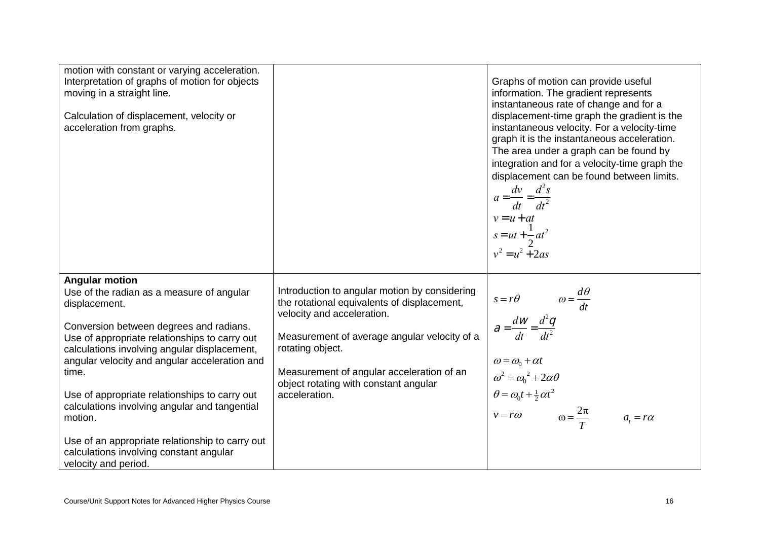| motion with constant or varying acceleration.<br>Interpretation of graphs of motion for objects<br>moving in a straight line.<br>Calculation of displacement, velocity or<br>acceleration from graphs.                                                                                                                                                                                                                                                                                                                       |                                                                                                                                                                                                                                                                                                       | Graphs of motion can provide useful<br>information. The gradient represents<br>instantaneous rate of change and for a<br>displacement-time graph the gradient is the<br>instantaneous velocity. For a velocity-time<br>graph it is the instantaneous acceleration.<br>The area under a graph can be found by<br>integration and for a velocity-time graph the<br>displacement can be found between limits.<br>$a = \frac{dv}{dt} = \frac{d^2s}{dt^2}$<br>$v = u + at$<br>$s = ut + \frac{1}{2}at^2$<br>$v^2 = u^2 + 2as$ |
|------------------------------------------------------------------------------------------------------------------------------------------------------------------------------------------------------------------------------------------------------------------------------------------------------------------------------------------------------------------------------------------------------------------------------------------------------------------------------------------------------------------------------|-------------------------------------------------------------------------------------------------------------------------------------------------------------------------------------------------------------------------------------------------------------------------------------------------------|--------------------------------------------------------------------------------------------------------------------------------------------------------------------------------------------------------------------------------------------------------------------------------------------------------------------------------------------------------------------------------------------------------------------------------------------------------------------------------------------------------------------------|
| <b>Angular motion</b><br>Use of the radian as a measure of angular<br>displacement.<br>Conversion between degrees and radians.<br>Use of appropriate relationships to carry out<br>calculations involving angular displacement,<br>angular velocity and angular acceleration and<br>time.<br>Use of appropriate relationships to carry out<br>calculations involving angular and tangential<br>motion.<br>Use of an appropriate relationship to carry out<br>calculations involving constant angular<br>velocity and period. | Introduction to angular motion by considering<br>the rotational equivalents of displacement,<br>velocity and acceleration.<br>Measurement of average angular velocity of a<br>rotating object.<br>Measurement of angular acceleration of an<br>object rotating with constant angular<br>acceleration. | $s = r\theta$ $\omega = \frac{d\theta}{dt}$<br>$\theta = \frac{dw}{dt} = \frac{d^2q}{dt^2}$<br>$\omega = \omega_0 + \alpha t$<br>$\omega^2 = \omega_0^2 + 2\alpha\theta$<br>$\theta = \omega_0 t + \frac{1}{2} \alpha t^2$<br>$v = r\omega$ $\omega = \frac{2\pi}{T}$ $a_t = r\alpha$                                                                                                                                                                                                                                    |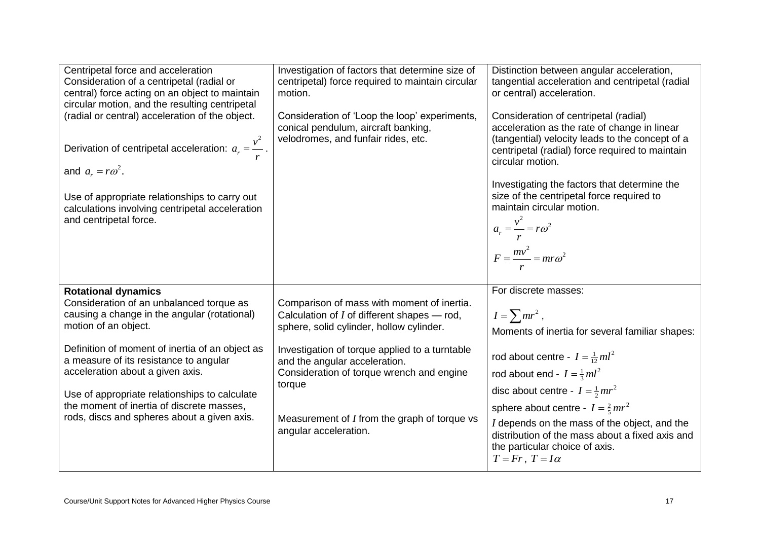| Centripetal force and acceleration<br>Consideration of a centripetal (radial or<br>central) force acting on an object to maintain<br>circular motion, and the resulting centripetal<br>(radial or central) acceleration of the object.<br>Derivation of centripetal acceleration: $a_r = \frac{v^2}{r}$ .<br>and $a_r = r\omega^2$ .<br>Use of appropriate relationships to carry out<br>calculations involving centripetal acceleration<br>and centripetal force. | Investigation of factors that determine size of<br>centripetal) force required to maintain circular<br>motion.<br>Consideration of 'Loop the loop' experiments,<br>conical pendulum, aircraft banking,<br>velodromes, and funfair rides, etc.                                                                                                                  | Distinction between angular acceleration,<br>tangential acceleration and centripetal (radial<br>or central) acceleration.<br>Consideration of centripetal (radial)<br>acceleration as the rate of change in linear<br>(tangential) velocity leads to the concept of a<br>centripetal (radial) force required to maintain<br>circular motion.<br>Investigating the factors that determine the<br>size of the centripetal force required to<br>maintain circular motion.<br>$a_r = \frac{v^2}{r} = r\omega^2$<br>$F = \frac{mv^2}{mr\omega^2} = mr\omega^2$ |
|--------------------------------------------------------------------------------------------------------------------------------------------------------------------------------------------------------------------------------------------------------------------------------------------------------------------------------------------------------------------------------------------------------------------------------------------------------------------|----------------------------------------------------------------------------------------------------------------------------------------------------------------------------------------------------------------------------------------------------------------------------------------------------------------------------------------------------------------|-----------------------------------------------------------------------------------------------------------------------------------------------------------------------------------------------------------------------------------------------------------------------------------------------------------------------------------------------------------------------------------------------------------------------------------------------------------------------------------------------------------------------------------------------------------|
| <b>Rotational dynamics</b><br>Consideration of an unbalanced torque as<br>causing a change in the angular (rotational)<br>motion of an object.<br>Definition of moment of inertia of an object as<br>a measure of its resistance to angular<br>acceleration about a given axis.<br>Use of appropriate relationships to calculate<br>the moment of inertia of discrete masses,<br>rods, discs and spheres about a given axis.                                       | Comparison of mass with moment of inertia.<br>Calculation of $I$ of different shapes $-$ rod,<br>sphere, solid cylinder, hollow cylinder.<br>Investigation of torque applied to a turntable<br>and the angular acceleration.<br>Consideration of torque wrench and engine<br>torque<br>Measurement of $I$ from the graph of torque vs<br>angular acceleration. | For discrete masses:<br>$I = \sum mr^2$ ,<br>Moments of inertia for several familiar shapes:<br>rod about centre - $I = \frac{1}{12}ml^2$<br>rod about end - $I = \frac{1}{3}ml^2$<br>disc about centre - $I = \frac{1}{2}mr^2$<br>sphere about centre - $I = \frac{2}{5}mr^2$<br>I depends on the mass of the object, and the<br>distribution of the mass about a fixed axis and<br>the particular choice of axis.<br>$T = Fr$ , $T = I\alpha$                                                                                                           |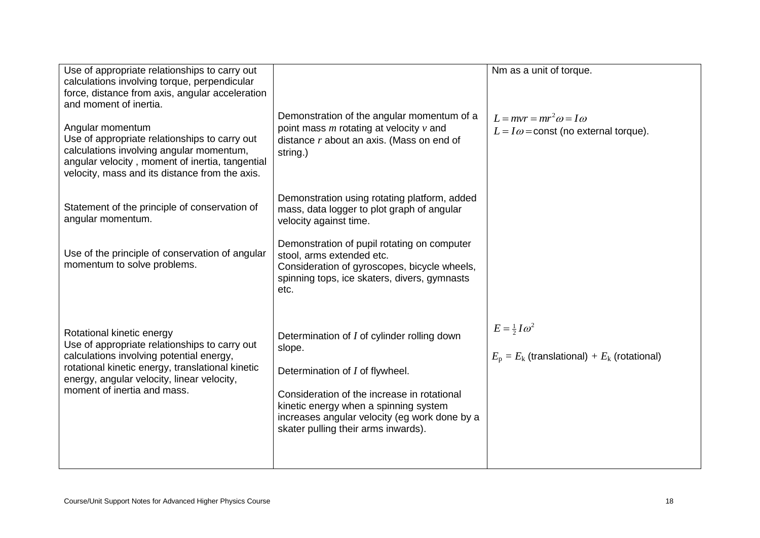| Use of appropriate relationships to carry out<br>calculations involving torque, perpendicular<br>force, distance from axis, angular acceleration<br>and moment of inertia.<br>Angular momentum<br>Use of appropriate relationships to carry out<br>calculations involving angular momentum,<br>angular velocity, moment of inertia, tangential<br>velocity, mass and its distance from the axis. | Demonstration of the angular momentum of a<br>point mass $m$ rotating at velocity $v$ and<br>distance $r$ about an axis. (Mass on end of<br>string.)                                                                                                                     | Nm as a unit of torque.<br>$L=mvr=mr^2\omega=I\omega$<br>$L = I\omega$ = const (no external torque). |
|--------------------------------------------------------------------------------------------------------------------------------------------------------------------------------------------------------------------------------------------------------------------------------------------------------------------------------------------------------------------------------------------------|--------------------------------------------------------------------------------------------------------------------------------------------------------------------------------------------------------------------------------------------------------------------------|------------------------------------------------------------------------------------------------------|
| Statement of the principle of conservation of<br>angular momentum.                                                                                                                                                                                                                                                                                                                               | Demonstration using rotating platform, added<br>mass, data logger to plot graph of angular<br>velocity against time.                                                                                                                                                     |                                                                                                      |
| Use of the principle of conservation of angular<br>momentum to solve problems.                                                                                                                                                                                                                                                                                                                   | Demonstration of pupil rotating on computer<br>stool, arms extended etc.<br>Consideration of gyroscopes, bicycle wheels,<br>spinning tops, ice skaters, divers, gymnasts<br>etc.                                                                                         |                                                                                                      |
| Rotational kinetic energy<br>Use of appropriate relationships to carry out<br>calculations involving potential energy,<br>rotational kinetic energy, translational kinetic<br>energy, angular velocity, linear velocity,<br>moment of inertia and mass.                                                                                                                                          | Determination of I of cylinder rolling down<br>slope.<br>Determination of I of flywheel.<br>Consideration of the increase in rotational<br>kinetic energy when a spinning system<br>increases angular velocity (eg work done by a<br>skater pulling their arms inwards). | $E=\frac{1}{2}I\omega^2$<br>$E_p = E_k$ (translational) + $E_k$ (rotational)                         |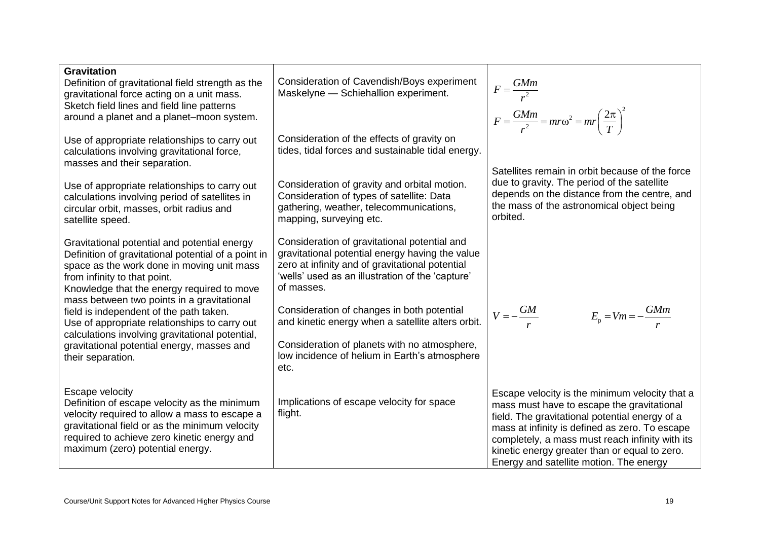| <b>Gravitation</b><br>Definition of gravitational field strength as the<br>gravitational force acting on a unit mass.<br>Sketch field lines and field line patterns<br>around a planet and a planet-moon system.                                                                                                                                                                                                                                                                                | Consideration of Cavendish/Boys experiment<br>Maskelyne - Schiehallion experiment.                                                                                                                                                                                                                                                                                                                                               | $F = \frac{GMm}{r^2}$<br>$F = \frac{GMm}{r^2} = mr\omega^2 = mr\left(\frac{2\pi}{T}\right)^2$                                                                                                                                                                                                                                                   |
|-------------------------------------------------------------------------------------------------------------------------------------------------------------------------------------------------------------------------------------------------------------------------------------------------------------------------------------------------------------------------------------------------------------------------------------------------------------------------------------------------|----------------------------------------------------------------------------------------------------------------------------------------------------------------------------------------------------------------------------------------------------------------------------------------------------------------------------------------------------------------------------------------------------------------------------------|-------------------------------------------------------------------------------------------------------------------------------------------------------------------------------------------------------------------------------------------------------------------------------------------------------------------------------------------------|
| Use of appropriate relationships to carry out<br>calculations involving gravitational force,<br>masses and their separation.                                                                                                                                                                                                                                                                                                                                                                    | Consideration of the effects of gravity on<br>tides, tidal forces and sustainable tidal energy.                                                                                                                                                                                                                                                                                                                                  |                                                                                                                                                                                                                                                                                                                                                 |
| Use of appropriate relationships to carry out<br>calculations involving period of satellites in<br>circular orbit, masses, orbit radius and<br>satellite speed.                                                                                                                                                                                                                                                                                                                                 | Consideration of gravity and orbital motion.<br>Consideration of types of satellite: Data<br>gathering, weather, telecommunications,<br>mapping, surveying etc.                                                                                                                                                                                                                                                                  | Satellites remain in orbit because of the force<br>due to gravity. The period of the satellite<br>depends on the distance from the centre, and<br>the mass of the astronomical object being<br>orbited.                                                                                                                                         |
| Gravitational potential and potential energy<br>Definition of gravitational potential of a point in<br>space as the work done in moving unit mass<br>from infinity to that point.<br>Knowledge that the energy required to move<br>mass between two points in a gravitational<br>field is independent of the path taken.<br>Use of appropriate relationships to carry out<br>calculations involving gravitational potential,<br>gravitational potential energy, masses and<br>their separation. | Consideration of gravitational potential and<br>gravitational potential energy having the value<br>zero at infinity and of gravitational potential<br>'wells' used as an illustration of the 'capture'<br>of masses.<br>Consideration of changes in both potential<br>and kinetic energy when a satellite alters orbit.<br>Consideration of planets with no atmosphere,<br>low incidence of helium in Earth's atmosphere<br>etc. | $V = -\frac{GM}{r}$<br>$E_{\rm p} = Vm = -\frac{GMm}{r}$                                                                                                                                                                                                                                                                                        |
| Escape velocity<br>Definition of escape velocity as the minimum<br>velocity required to allow a mass to escape a<br>gravitational field or as the minimum velocity<br>required to achieve zero kinetic energy and<br>maximum (zero) potential energy.                                                                                                                                                                                                                                           | Implications of escape velocity for space<br>flight.                                                                                                                                                                                                                                                                                                                                                                             | Escape velocity is the minimum velocity that a<br>mass must have to escape the gravitational<br>field. The gravitational potential energy of a<br>mass at infinity is defined as zero. To escape<br>completely, a mass must reach infinity with its<br>kinetic energy greater than or equal to zero.<br>Energy and satellite motion. The energy |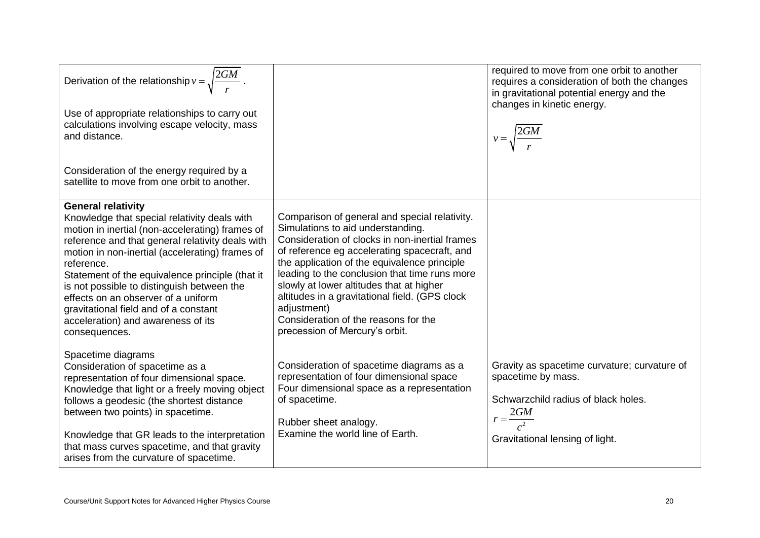| Derivation of the relationship $v = \sqrt{\frac{2GM}{r}}$ .<br>Use of appropriate relationships to carry out<br>calculations involving escape velocity, mass<br>and distance.                                                                                                                                                                                                                                                                                                             |                                                                                                                                                                                                                                                                                                                                                                                                                                                                              | required to move from one orbit to another<br>requires a consideration of both the changes<br>in gravitational potential energy and the<br>changes in kinetic energy.<br>$v = \sqrt{\frac{2GM}{r}}$ |
|-------------------------------------------------------------------------------------------------------------------------------------------------------------------------------------------------------------------------------------------------------------------------------------------------------------------------------------------------------------------------------------------------------------------------------------------------------------------------------------------|------------------------------------------------------------------------------------------------------------------------------------------------------------------------------------------------------------------------------------------------------------------------------------------------------------------------------------------------------------------------------------------------------------------------------------------------------------------------------|-----------------------------------------------------------------------------------------------------------------------------------------------------------------------------------------------------|
| Consideration of the energy required by a<br>satellite to move from one orbit to another.                                                                                                                                                                                                                                                                                                                                                                                                 |                                                                                                                                                                                                                                                                                                                                                                                                                                                                              |                                                                                                                                                                                                     |
| <b>General relativity</b><br>Knowledge that special relativity deals with<br>motion in inertial (non-accelerating) frames of<br>reference and that general relativity deals with<br>motion in non-inertial (accelerating) frames of<br>reference.<br>Statement of the equivalence principle (that it<br>is not possible to distinguish between the<br>effects on an observer of a uniform<br>gravitational field and of a constant<br>acceleration) and awareness of its<br>consequences. | Comparison of general and special relativity.<br>Simulations to aid understanding.<br>Consideration of clocks in non-inertial frames<br>of reference eg accelerating spacecraft, and<br>the application of the equivalence principle<br>leading to the conclusion that time runs more<br>slowly at lower altitudes that at higher<br>altitudes in a gravitational field. (GPS clock<br>adjustment)<br>Consideration of the reasons for the<br>precession of Mercury's orbit. |                                                                                                                                                                                                     |
| Spacetime diagrams<br>Consideration of spacetime as a<br>representation of four dimensional space.<br>Knowledge that light or a freely moving object<br>follows a geodesic (the shortest distance<br>between two points) in spacetime.<br>Knowledge that GR leads to the interpretation<br>that mass curves spacetime, and that gravity<br>arises from the curvature of spacetime.                                                                                                        | Consideration of spacetime diagrams as a<br>representation of four dimensional space<br>Four dimensional space as a representation<br>of spacetime.<br>Rubber sheet analogy.<br>Examine the world line of Earth.                                                                                                                                                                                                                                                             | Gravity as spacetime curvature; curvature of<br>spacetime by mass.<br>Schwarzchild radius of black holes.<br>$r = \frac{2GM}{c^2}$<br>Gravitational lensing of light.                               |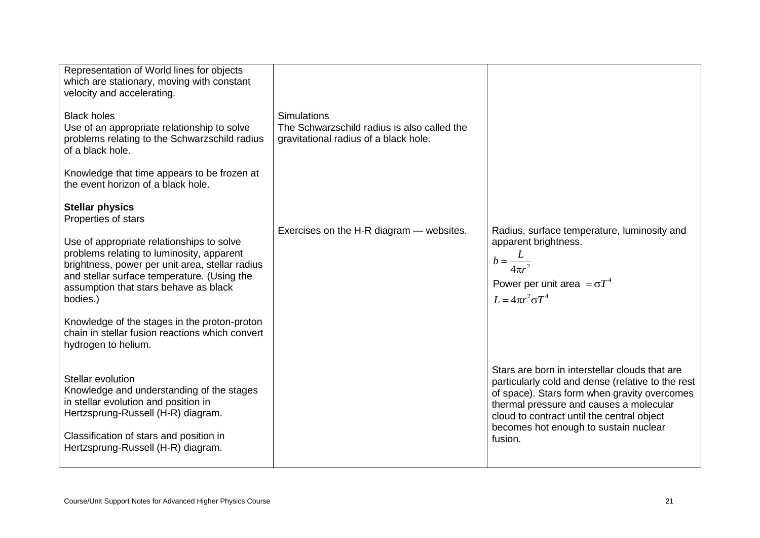| Representation of World lines for objects<br>which are stationary, moving with constant<br>velocity and accelerating.                                                                                                                         |                                                                                                            |                                                                                                                                                                                                                                                                                                  |
|-----------------------------------------------------------------------------------------------------------------------------------------------------------------------------------------------------------------------------------------------|------------------------------------------------------------------------------------------------------------|--------------------------------------------------------------------------------------------------------------------------------------------------------------------------------------------------------------------------------------------------------------------------------------------------|
| <b>Black holes</b><br>Use of an appropriate relationship to solve<br>problems relating to the Schwarzschild radius<br>of a black hole.                                                                                                        | <b>Simulations</b><br>The Schwarzschild radius is also called the<br>gravitational radius of a black hole. |                                                                                                                                                                                                                                                                                                  |
| Knowledge that time appears to be frozen at<br>the event horizon of a black hole.                                                                                                                                                             |                                                                                                            |                                                                                                                                                                                                                                                                                                  |
| <b>Stellar physics</b><br>Properties of stars                                                                                                                                                                                                 |                                                                                                            |                                                                                                                                                                                                                                                                                                  |
| Use of appropriate relationships to solve<br>problems relating to luminosity, apparent<br>brightness, power per unit area, stellar radius<br>and stellar surface temperature. (Using the<br>assumption that stars behave as black<br>bodies.) | Exercises on the H-R diagram - websites.                                                                   | Radius, surface temperature, luminosity and<br>apparent brightness.<br>$b = \frac{L}{4\pi r^2}$<br>Power per unit area $=\sigma T^4$<br>$L = 4\pi r^2 \sigma T^4$                                                                                                                                |
| Knowledge of the stages in the proton-proton<br>chain in stellar fusion reactions which convert<br>hydrogen to helium.                                                                                                                        |                                                                                                            |                                                                                                                                                                                                                                                                                                  |
| Stellar evolution<br>Knowledge and understanding of the stages<br>in stellar evolution and position in<br>Hertzsprung-Russell (H-R) diagram.<br>Classification of stars and position in<br>Hertzsprung-Russell (H-R) diagram.                 |                                                                                                            | Stars are born in interstellar clouds that are<br>particularly cold and dense (relative to the rest<br>of space). Stars form when gravity overcomes<br>thermal pressure and causes a molecular<br>cloud to contract until the central object<br>becomes hot enough to sustain nuclear<br>fusion. |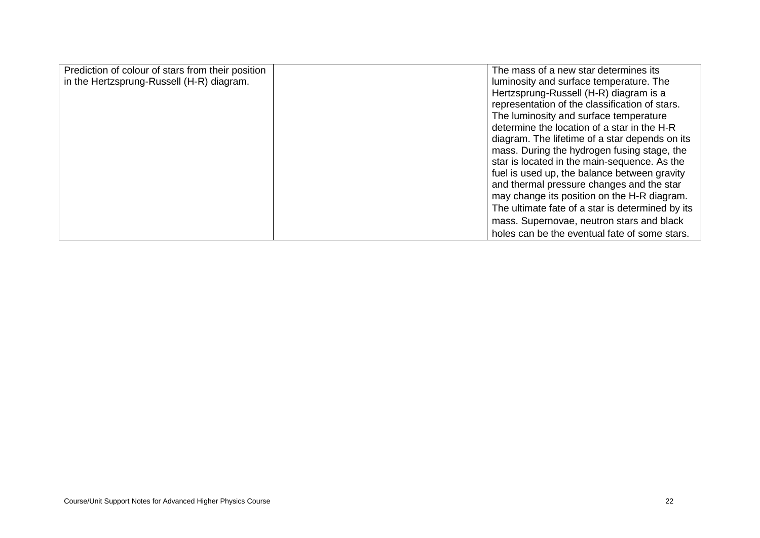| Prediction of colour of stars from their position | The mass of a new star determines its            |
|---------------------------------------------------|--------------------------------------------------|
| in the Hertzsprung-Russell (H-R) diagram.         | luminosity and surface temperature. The          |
|                                                   | Hertzsprung-Russell (H-R) diagram is a           |
|                                                   | representation of the classification of stars.   |
|                                                   | The luminosity and surface temperature           |
|                                                   | determine the location of a star in the H-R      |
|                                                   | diagram. The lifetime of a star depends on its   |
|                                                   | mass. During the hydrogen fusing stage, the      |
|                                                   | star is located in the main-sequence. As the     |
|                                                   | fuel is used up, the balance between gravity     |
|                                                   | and thermal pressure changes and the star        |
|                                                   | may change its position on the H-R diagram.      |
|                                                   | The ultimate fate of a star is determined by its |
|                                                   | mass. Supernovae, neutron stars and black        |
|                                                   | holes can be the eventual fate of some stars.    |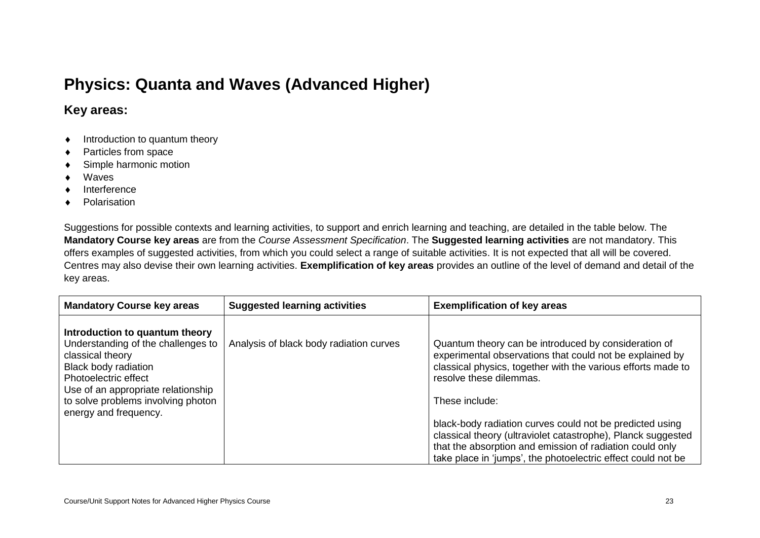# **Physics: Quanta and Waves (Advanced Higher)**

## **Key areas:**

- $\bullet$  Introduction to quantum theory
- ◆ Particles from space
- ◆ Simple harmonic motion
- Waves
- Interference
- ◆ Polarisation

Suggestions for possible contexts and learning activities, to support and enrich learning and teaching, are detailed in the table below. The **Mandatory Course key areas** are from the *Course Assessment Specification*. The **Suggested learning activities** are not mandatory. This offers examples of suggested activities, from which you could select a range of suitable activities. It is not expected that all will be covered. Centres may also devise their own learning activities. **Exemplification of key areas** provides an outline of the level of demand and detail of the key areas.

| <b>Mandatory Course key areas</b>                                                                                                                                                                                                                    | <b>Suggested learning activities</b>    | <b>Exemplification of key areas</b>                                                                                                                                                                                                                                                                                                                                                                                                                                                   |
|------------------------------------------------------------------------------------------------------------------------------------------------------------------------------------------------------------------------------------------------------|-----------------------------------------|---------------------------------------------------------------------------------------------------------------------------------------------------------------------------------------------------------------------------------------------------------------------------------------------------------------------------------------------------------------------------------------------------------------------------------------------------------------------------------------|
| Introduction to quantum theory<br>Understanding of the challenges to<br>classical theory<br><b>Black body radiation</b><br>Photoelectric effect<br>Use of an appropriate relationship<br>to solve problems involving photon<br>energy and frequency. | Analysis of black body radiation curves | Quantum theory can be introduced by consideration of<br>experimental observations that could not be explained by<br>classical physics, together with the various efforts made to<br>resolve these dilemmas.<br>These include:<br>black-body radiation curves could not be predicted using<br>classical theory (ultraviolet catastrophe), Planck suggested<br>that the absorption and emission of radiation could only<br>take place in 'jumps', the photoelectric effect could not be |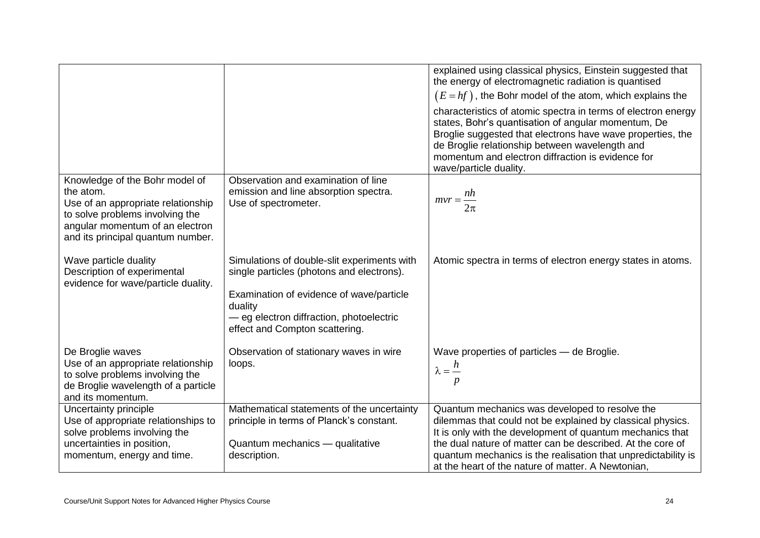|                                                                                                         |                                                                                          | explained using classical physics, Einstein suggested that<br>the energy of electromagnetic radiation is quantised<br>$(E = hf)$ , the Bohr model of the atom, which explains the                                                                                                                                   |
|---------------------------------------------------------------------------------------------------------|------------------------------------------------------------------------------------------|---------------------------------------------------------------------------------------------------------------------------------------------------------------------------------------------------------------------------------------------------------------------------------------------------------------------|
|                                                                                                         |                                                                                          | characteristics of atomic spectra in terms of electron energy<br>states, Bohr's quantisation of angular momentum, De<br>Broglie suggested that electrons have wave properties, the<br>de Broglie relationship between wavelength and<br>momentum and electron diffraction is evidence for<br>wave/particle duality. |
| Knowledge of the Bohr model of                                                                          | Observation and examination of line                                                      |                                                                                                                                                                                                                                                                                                                     |
| the atom.                                                                                               | emission and line absorption spectra.                                                    | $mvr = \frac{nh}{m}$                                                                                                                                                                                                                                                                                                |
| Use of an appropriate relationship                                                                      | Use of spectrometer.                                                                     | $2\pi$                                                                                                                                                                                                                                                                                                              |
| to solve problems involving the<br>angular momentum of an electron<br>and its principal quantum number. |                                                                                          |                                                                                                                                                                                                                                                                                                                     |
| Wave particle duality<br>Description of experimental<br>evidence for wave/particle duality.             | Simulations of double-slit experiments with<br>single particles (photons and electrons). | Atomic spectra in terms of electron energy states in atoms.                                                                                                                                                                                                                                                         |
|                                                                                                         | Examination of evidence of wave/particle                                                 |                                                                                                                                                                                                                                                                                                                     |
|                                                                                                         | duality<br>- eg electron diffraction, photoelectric                                      |                                                                                                                                                                                                                                                                                                                     |
|                                                                                                         | effect and Compton scattering.                                                           |                                                                                                                                                                                                                                                                                                                     |
| De Broglie waves                                                                                        | Observation of stationary waves in wire                                                  | Wave properties of particles - de Broglie.                                                                                                                                                                                                                                                                          |
| Use of an appropriate relationship                                                                      | loops.                                                                                   | $\lambda = \frac{h}{h}$                                                                                                                                                                                                                                                                                             |
| to solve problems involving the                                                                         |                                                                                          | p                                                                                                                                                                                                                                                                                                                   |
| de Broglie wavelength of a particle                                                                     |                                                                                          |                                                                                                                                                                                                                                                                                                                     |
| and its momentum.                                                                                       | Mathematical statements of the uncertainty                                               | Quantum mechanics was developed to resolve the                                                                                                                                                                                                                                                                      |
| Uncertainty principle<br>Use of appropriate relationships to                                            | principle in terms of Planck's constant.                                                 | dilemmas that could not be explained by classical physics.                                                                                                                                                                                                                                                          |
| solve problems involving the                                                                            |                                                                                          | It is only with the development of quantum mechanics that                                                                                                                                                                                                                                                           |
| uncertainties in position,                                                                              | Quantum mechanics - qualitative                                                          | the dual nature of matter can be described. At the core of                                                                                                                                                                                                                                                          |
| momentum, energy and time.                                                                              | description.                                                                             | quantum mechanics is the realisation that unpredictability is                                                                                                                                                                                                                                                       |
|                                                                                                         |                                                                                          | at the heart of the nature of matter. A Newtonian,                                                                                                                                                                                                                                                                  |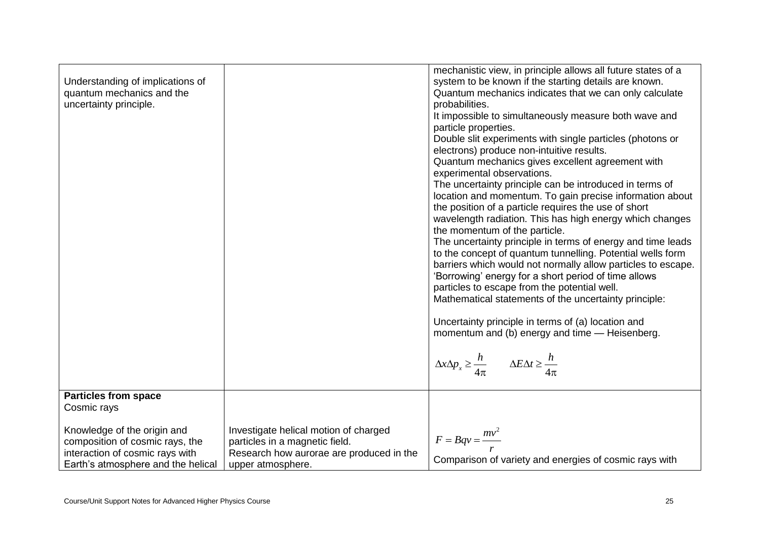| Understanding of implications of<br>quantum mechanics and the<br>uncertainty principle.                                                 |                                                                                                                                          | mechanistic view, in principle allows all future states of a<br>system to be known if the starting details are known.<br>Quantum mechanics indicates that we can only calculate<br>probabilities.<br>It impossible to simultaneously measure both wave and<br>particle properties.<br>Double slit experiments with single particles (photons or<br>electrons) produce non-intuitive results.<br>Quantum mechanics gives excellent agreement with<br>experimental observations.<br>The uncertainty principle can be introduced in terms of<br>location and momentum. To gain precise information about<br>the position of a particle requires the use of short<br>wavelength radiation. This has high energy which changes<br>the momentum of the particle.<br>The uncertainty principle in terms of energy and time leads<br>to the concept of quantum tunnelling. Potential wells form<br>barriers which would not normally allow particles to escape.<br>'Borrowing' energy for a short period of time allows<br>particles to escape from the potential well.<br>Mathematical statements of the uncertainty principle:<br>Uncertainty principle in terms of (a) location and<br>momentum and (b) energy and time - Heisenberg.<br>$\Delta x \Delta p_x \geq \frac{h}{4\pi} \qquad \Delta E \Delta t \geq \frac{h}{4\pi}$ |
|-----------------------------------------------------------------------------------------------------------------------------------------|------------------------------------------------------------------------------------------------------------------------------------------|----------------------------------------------------------------------------------------------------------------------------------------------------------------------------------------------------------------------------------------------------------------------------------------------------------------------------------------------------------------------------------------------------------------------------------------------------------------------------------------------------------------------------------------------------------------------------------------------------------------------------------------------------------------------------------------------------------------------------------------------------------------------------------------------------------------------------------------------------------------------------------------------------------------------------------------------------------------------------------------------------------------------------------------------------------------------------------------------------------------------------------------------------------------------------------------------------------------------------------------------------------------------------------------------------------------------------|
| <b>Particles from space</b><br>Cosmic rays                                                                                              |                                                                                                                                          |                                                                                                                                                                                                                                                                                                                                                                                                                                                                                                                                                                                                                                                                                                                                                                                                                                                                                                                                                                                                                                                                                                                                                                                                                                                                                                                            |
| Knowledge of the origin and<br>composition of cosmic rays, the<br>interaction of cosmic rays with<br>Earth's atmosphere and the helical | Investigate helical motion of charged<br>particles in a magnetic field.<br>Research how aurorae are produced in the<br>upper atmosphere. | $F = Bqv = \frac{mv^2}{2}$<br>Comparison of variety and energies of cosmic rays with                                                                                                                                                                                                                                                                                                                                                                                                                                                                                                                                                                                                                                                                                                                                                                                                                                                                                                                                                                                                                                                                                                                                                                                                                                       |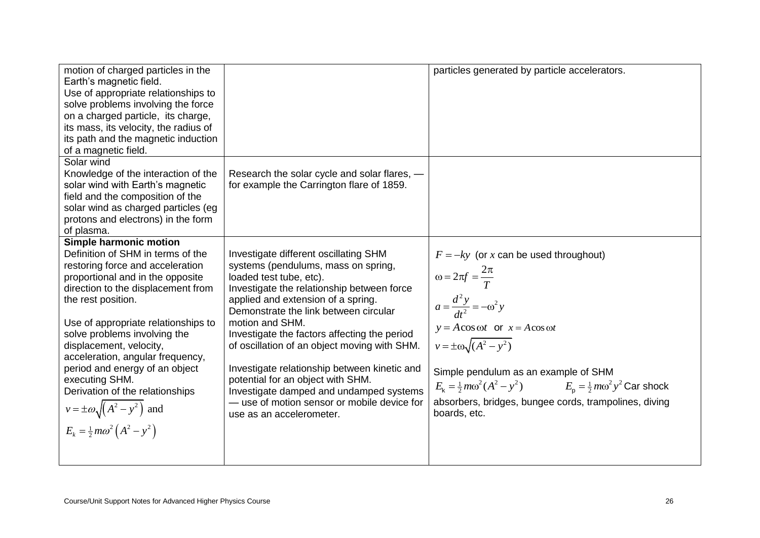| motion of charged particles in the<br>Earth's magnetic field.<br>Use of appropriate relationships to<br>solve problems involving the force<br>on a charged particle, its charge,<br>its mass, its velocity, the radius of<br>its path and the magnetic induction<br>of a magnetic field.                                                                                                                                                                                                                              |                                                                                                                                                                                                                                                                                                                                                                                                                                                                                                                                                                    | particles generated by particle accelerators.                                                                                                                                                                                                                                                                                                                                                                                          |
|-----------------------------------------------------------------------------------------------------------------------------------------------------------------------------------------------------------------------------------------------------------------------------------------------------------------------------------------------------------------------------------------------------------------------------------------------------------------------------------------------------------------------|--------------------------------------------------------------------------------------------------------------------------------------------------------------------------------------------------------------------------------------------------------------------------------------------------------------------------------------------------------------------------------------------------------------------------------------------------------------------------------------------------------------------------------------------------------------------|----------------------------------------------------------------------------------------------------------------------------------------------------------------------------------------------------------------------------------------------------------------------------------------------------------------------------------------------------------------------------------------------------------------------------------------|
| Solar wind<br>Knowledge of the interaction of the<br>solar wind with Earth's magnetic<br>field and the composition of the<br>solar wind as charged particles (eg<br>protons and electrons) in the form<br>of plasma.                                                                                                                                                                                                                                                                                                  | Research the solar cycle and solar flares, -<br>for example the Carrington flare of 1859.                                                                                                                                                                                                                                                                                                                                                                                                                                                                          |                                                                                                                                                                                                                                                                                                                                                                                                                                        |
| Simple harmonic motion<br>Definition of SHM in terms of the<br>restoring force and acceleration<br>proportional and in the opposite<br>direction to the displacement from<br>the rest position.<br>Use of appropriate relationships to<br>solve problems involving the<br>displacement, velocity,<br>acceleration, angular frequency,<br>period and energy of an object<br>executing SHM.<br>Derivation of the relationships<br>$v = \pm \omega \sqrt{(A^2 - y^2)}$ and<br>$E_k = \frac{1}{2} m \omega^2 (A^2 - y^2)$ | Investigate different oscillating SHM<br>systems (pendulums, mass on spring,<br>loaded test tube, etc).<br>Investigate the relationship between force<br>applied and extension of a spring.<br>Demonstrate the link between circular<br>motion and SHM.<br>Investigate the factors affecting the period<br>of oscillation of an object moving with SHM.<br>Investigate relationship between kinetic and<br>potential for an object with SHM.<br>Investigate damped and undamped systems<br>— use of motion sensor or mobile device for<br>use as an accelerometer. | $F = -ky$ (or x can be used throughout)<br>$\omega = 2\pi f = \frac{2\pi}{T}$<br>$a = \frac{d^2 y}{dt^2} = -\omega^2 y$<br>$y = A\cos \omega t$ or $x = A\cos \omega t$<br>$v = \pm \omega \sqrt{(A^2 - y^2)}$<br>Simple pendulum as an example of SHM<br>$E_{\rm k} = \frac{1}{2} m \omega^2 (A^2 - y^2)$ $E_{\rm p} = \frac{1}{2} m \omega^2 y^2$ Car shock<br>absorbers, bridges, bungee cords, trampolines, diving<br>boards, etc. |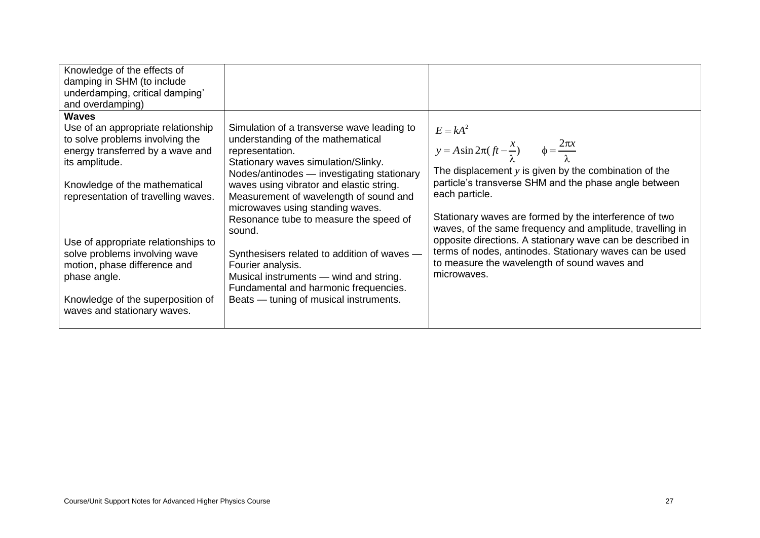| Knowledge of the effects of<br>damping in SHM (to include<br>underdamping, critical damping'<br>and overdamping)                            |                                                                                                                                                                                         |                                                                                                                                                                                                |
|---------------------------------------------------------------------------------------------------------------------------------------------|-----------------------------------------------------------------------------------------------------------------------------------------------------------------------------------------|------------------------------------------------------------------------------------------------------------------------------------------------------------------------------------------------|
| <b>Waves</b><br>Use of an appropriate relationship<br>to solve problems involving the<br>energy transferred by a wave and<br>its amplitude. | Simulation of a transverse wave leading to<br>understanding of the mathematical<br>representation.<br>Stationary waves simulation/Slinky.<br>Nodes/antinodes - investigating stationary | $E = kA^2$<br>$y = A \sin 2\pi (ft - \frac{x}{\lambda})$ $\phi = \frac{2\pi x}{\lambda}$<br>The displacement $y$ is given by the combination of the                                            |
| Knowledge of the mathematical<br>representation of travelling waves.                                                                        | waves using vibrator and elastic string.<br>Measurement of wavelength of sound and<br>microwaves using standing waves.<br>Resonance tube to measure the speed of<br>sound.              | particle's transverse SHM and the phase angle between<br>each particle.<br>Stationary waves are formed by the interference of two<br>waves, of the same frequency and amplitude, travelling in |
| Use of appropriate relationships to<br>solve problems involving wave<br>motion, phase difference and<br>phase angle.                        | Synthesisers related to addition of waves -<br>Fourier analysis.<br>Musical instruments — wind and string.<br>Fundamental and harmonic frequencies.                                     | opposite directions. A stationary wave can be described in<br>terms of nodes, antinodes. Stationary waves can be used<br>to measure the wavelength of sound waves and<br>microwaves.           |
| Knowledge of the superposition of<br>waves and stationary waves.                                                                            | Beats - tuning of musical instruments.                                                                                                                                                  |                                                                                                                                                                                                |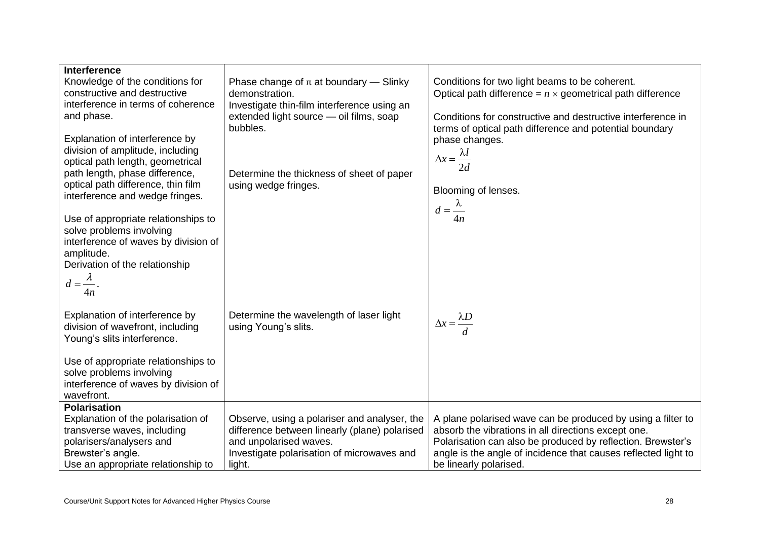| Interference<br>Knowledge of the conditions for<br>constructive and destructive<br>interference in terms of coherence<br>and phase.<br>Explanation of interference by<br>division of amplitude, including<br>optical path length, geometrical<br>path length, phase difference,<br>optical path difference, thin film<br>interference and wedge fringes. | Phase change of $\pi$ at boundary — Slinky<br>demonstration.<br>Investigate thin-film interference using an<br>extended light source - oil films, soap<br>bubbles.<br>Determine the thickness of sheet of paper<br>using wedge fringes. | Conditions for two light beams to be coherent.<br>Optical path difference = $n \times$ geometrical path difference<br>Conditions for constructive and destructive interference in<br>terms of optical path difference and potential boundary<br>phase changes.<br>$\Delta x = \frac{\lambda l}{\lambda}$<br>2d<br>Blooming of lenses. |
|----------------------------------------------------------------------------------------------------------------------------------------------------------------------------------------------------------------------------------------------------------------------------------------------------------------------------------------------------------|-----------------------------------------------------------------------------------------------------------------------------------------------------------------------------------------------------------------------------------------|---------------------------------------------------------------------------------------------------------------------------------------------------------------------------------------------------------------------------------------------------------------------------------------------------------------------------------------|
| Use of appropriate relationships to<br>solve problems involving<br>interference of waves by division of<br>amplitude.<br>Derivation of the relationship<br>$d=\frac{\lambda}{\alpha}$ .<br>4n                                                                                                                                                            |                                                                                                                                                                                                                                         | $d=\frac{\lambda}{\lambda}$<br>4n                                                                                                                                                                                                                                                                                                     |
| Explanation of interference by<br>division of wavefront, including<br>Young's slits interference.<br>Use of appropriate relationships to<br>solve problems involving<br>interference of waves by division of<br>wavefront.                                                                                                                               | Determine the wavelength of laser light<br>using Young's slits.                                                                                                                                                                         | $\Delta x = \frac{\lambda D}{\tau}$                                                                                                                                                                                                                                                                                                   |
| <b>Polarisation</b><br>Explanation of the polarisation of<br>transverse waves, including<br>polarisers/analysers and<br>Brewster's angle.<br>Use an appropriate relationship to                                                                                                                                                                          | Observe, using a polariser and analyser, the<br>difference between linearly (plane) polarised<br>and unpolarised waves.<br>Investigate polarisation of microwaves and<br>light.                                                         | A plane polarised wave can be produced by using a filter to<br>absorb the vibrations in all directions except one.<br>Polarisation can also be produced by reflection. Brewster's<br>angle is the angle of incidence that causes reflected light to<br>be linearly polarised.                                                         |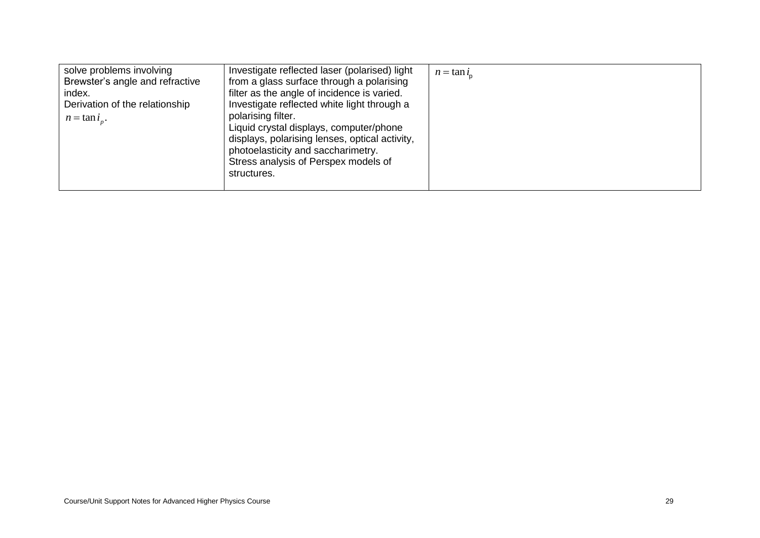| solve problems involving<br>Brewster's angle and refractive<br>index.<br>Derivation of the relationship<br>$n = \tan i_n$ . | Investigate reflected laser (polarised) light<br>from a glass surface through a polarising<br>filter as the angle of incidence is varied.<br>Investigate reflected white light through a<br>polarising filter.<br>Liquid crystal displays, computer/phone<br>displays, polarising lenses, optical activity,<br>photoelasticity and saccharimetry.<br>Stress analysis of Perspex models of<br>structures. | $n = \tan i$ |
|-----------------------------------------------------------------------------------------------------------------------------|----------------------------------------------------------------------------------------------------------------------------------------------------------------------------------------------------------------------------------------------------------------------------------------------------------------------------------------------------------------------------------------------------------|--------------|
|-----------------------------------------------------------------------------------------------------------------------------|----------------------------------------------------------------------------------------------------------------------------------------------------------------------------------------------------------------------------------------------------------------------------------------------------------------------------------------------------------------------------------------------------------|--------------|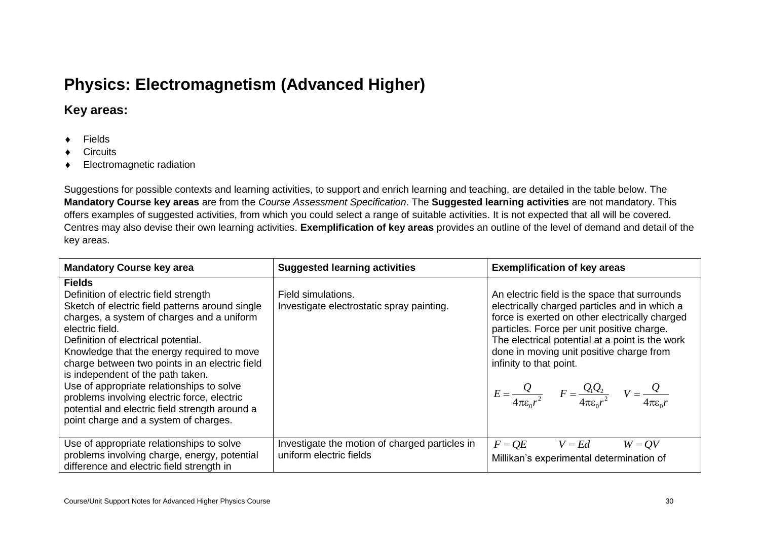# **Physics: Electromagnetism (Advanced Higher)**

## **Key areas:**

- ◆ Fields
- Circuits
- Electromagnetic radiation

Suggestions for possible contexts and learning activities, to support and enrich learning and teaching, are detailed in the table below. The **Mandatory Course key areas** are from the *Course Assessment Specification*. The **Suggested learning activities** are not mandatory. This offers examples of suggested activities, from which you could select a range of suitable activities. It is not expected that all will be covered. Centres may also devise their own learning activities. **Exemplification of key areas** provides an outline of the level of demand and detail of the key areas.

| <b>Mandatory Course key area</b>                                                                                                                                                                                                                                                                                                                                                                                                                                                                                                              | <b>Suggested learning activities</b>                                      | <b>Exemplification of key areas</b>                                                                                                                                                                                                                                                                                                                                                                                                                |
|-----------------------------------------------------------------------------------------------------------------------------------------------------------------------------------------------------------------------------------------------------------------------------------------------------------------------------------------------------------------------------------------------------------------------------------------------------------------------------------------------------------------------------------------------|---------------------------------------------------------------------------|----------------------------------------------------------------------------------------------------------------------------------------------------------------------------------------------------------------------------------------------------------------------------------------------------------------------------------------------------------------------------------------------------------------------------------------------------|
| <b>Fields</b><br>Definition of electric field strength<br>Sketch of electric field patterns around single<br>charges, a system of charges and a uniform<br>electric field.<br>Definition of electrical potential.<br>Knowledge that the energy required to move<br>charge between two points in an electric field<br>is independent of the path taken.<br>Use of appropriate relationships to solve<br>problems involving electric force, electric<br>potential and electric field strength around a<br>point charge and a system of charges. | Field simulations.<br>Investigate electrostatic spray painting.           | An electric field is the space that surrounds<br>electrically charged particles and in which a<br>force is exerted on other electrically charged<br>particles. Force per unit positive charge.<br>The electrical potential at a point is the work<br>done in moving unit positive charge from<br>infinity to that point.<br>$E = \frac{Q}{4\pi\epsilon_0 r^2} \qquad F = \frac{Q_1 Q_2}{4\pi\epsilon_0 r^2} \qquad V = \frac{Q}{4\pi\epsilon_0 r}$ |
| Use of appropriate relationships to solve<br>problems involving charge, energy, potential<br>difference and electric field strength in                                                                                                                                                                                                                                                                                                                                                                                                        | Investigate the motion of charged particles in<br>uniform electric fields | $F = QE$<br>$W = QV$<br>$V = Ed$<br>Millikan's experimental determination of                                                                                                                                                                                                                                                                                                                                                                       |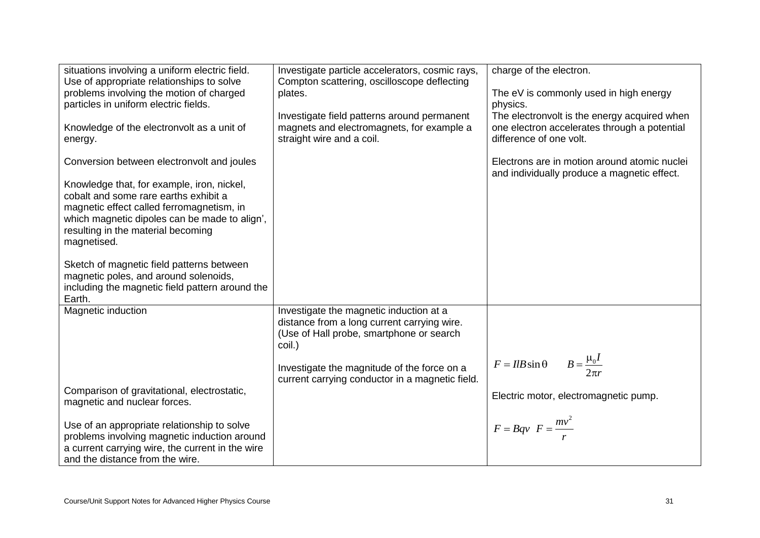| situations involving a uniform electric field.<br>Use of appropriate relationships to solve<br>problems involving the motion of charged<br>particles in uniform electric fields.<br>Knowledge of the electronvolt as a unit of<br>energy.                                                                                                                                                                                               | Investigate particle accelerators, cosmic rays,<br>Compton scattering, oscilloscope deflecting<br>plates.<br>Investigate field patterns around permanent<br>magnets and electromagnets, for example a<br>straight wire and a coil.             | charge of the electron.<br>The eV is commonly used in high energy<br>physics.<br>The electronvolt is the energy acquired when<br>one electron accelerates through a potential<br>difference of one volt. |
|-----------------------------------------------------------------------------------------------------------------------------------------------------------------------------------------------------------------------------------------------------------------------------------------------------------------------------------------------------------------------------------------------------------------------------------------|------------------------------------------------------------------------------------------------------------------------------------------------------------------------------------------------------------------------------------------------|----------------------------------------------------------------------------------------------------------------------------------------------------------------------------------------------------------|
| Conversion between electronvolt and joules<br>Knowledge that, for example, iron, nickel,<br>cobalt and some rare earths exhibit a<br>magnetic effect called ferromagnetism, in<br>which magnetic dipoles can be made to align',<br>resulting in the material becoming<br>magnetised.<br>Sketch of magnetic field patterns between<br>magnetic poles, and around solenoids,<br>including the magnetic field pattern around the<br>Earth. |                                                                                                                                                                                                                                                | Electrons are in motion around atomic nuclei<br>and individually produce a magnetic effect.                                                                                                              |
| Magnetic induction<br>Comparison of gravitational, electrostatic,<br>magnetic and nuclear forces.<br>Use of an appropriate relationship to solve<br>problems involving magnetic induction around<br>a current carrying wire, the current in the wire<br>and the distance from the wire.                                                                                                                                                 | Investigate the magnetic induction at a<br>distance from a long current carrying wire.<br>(Use of Hall probe, smartphone or search<br>coil.)<br>Investigate the magnitude of the force on a<br>current carrying conductor in a magnetic field. | $B=\frac{\mu_0 I}{2\pi r}$<br>$F = IlB\sin\theta$<br>Electric motor, electromagnetic pump.<br>$F = Bqv \ \ F = \frac{mv^2}{m}$                                                                           |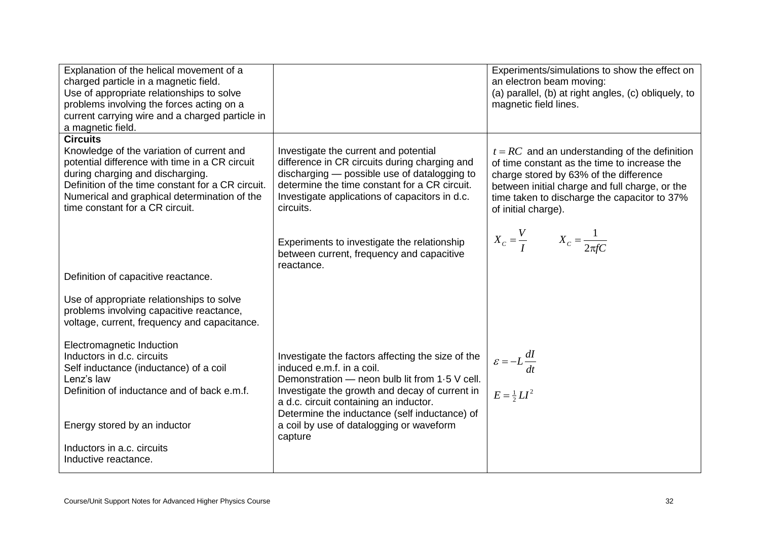| Explanation of the helical movement of a<br>charged particle in a magnetic field.<br>Use of appropriate relationships to solve<br>problems involving the forces acting on a<br>current carrying wire and a charged particle in<br>a magnetic field.                                        |                                                                                                                                                                                                                                                                               | Experiments/simulations to show the effect on<br>an electron beam moving:<br>(a) parallel, (b) at right angles, (c) obliquely, to<br>magnetic field lines.                                                                                                         |
|--------------------------------------------------------------------------------------------------------------------------------------------------------------------------------------------------------------------------------------------------------------------------------------------|-------------------------------------------------------------------------------------------------------------------------------------------------------------------------------------------------------------------------------------------------------------------------------|--------------------------------------------------------------------------------------------------------------------------------------------------------------------------------------------------------------------------------------------------------------------|
| <b>Circuits</b><br>Knowledge of the variation of current and<br>potential difference with time in a CR circuit<br>during charging and discharging.<br>Definition of the time constant for a CR circuit.<br>Numerical and graphical determination of the<br>time constant for a CR circuit. | Investigate the current and potential<br>difference in CR circuits during charging and<br>discharging - possible use of datalogging to<br>determine the time constant for a CR circuit.<br>Investigate applications of capacitors in d.c.<br>circuits.                        | $t = RC$ and an understanding of the definition<br>of time constant as the time to increase the<br>charge stored by 63% of the difference<br>between initial charge and full charge, or the<br>time taken to discharge the capacitor to 37%<br>of initial charge). |
| Definition of capacitive reactance.                                                                                                                                                                                                                                                        | Experiments to investigate the relationship<br>between current, frequency and capacitive<br>reactance.                                                                                                                                                                        | $X_c = \frac{V}{I}$ $X_c = \frac{1}{2\pi fC}$                                                                                                                                                                                                                      |
| Use of appropriate relationships to solve<br>problems involving capacitive reactance,<br>voltage, current, frequency and capacitance.                                                                                                                                                      |                                                                                                                                                                                                                                                                               |                                                                                                                                                                                                                                                                    |
| Electromagnetic Induction<br>Inductors in d.c. circuits<br>Self inductance (inductance) of a coil<br>Lenz's law<br>Definition of inductance and of back e.m.f.                                                                                                                             | Investigate the factors affecting the size of the<br>induced e.m.f. in a coil.<br>Demonstration - neon bulb lit from 1.5 V cell.<br>Investigate the growth and decay of current in<br>a d.c. circuit containing an inductor.<br>Determine the inductance (self inductance) of | $\varepsilon = -L \frac{dI}{dt}$<br>$E = \frac{1}{2}LI^2$                                                                                                                                                                                                          |
| Energy stored by an inductor<br>Inductors in a.c. circuits<br>Inductive reactance.                                                                                                                                                                                                         | a coil by use of datalogging or waveform<br>capture                                                                                                                                                                                                                           |                                                                                                                                                                                                                                                                    |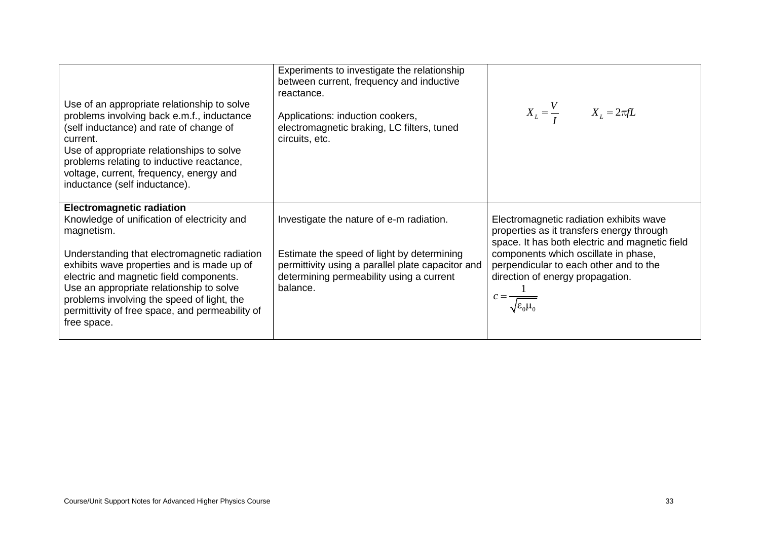| Use of an appropriate relationship to solve<br>problems involving back e.m.f., inductance<br>(self inductance) and rate of change of<br>current.<br>Use of appropriate relationships to solve<br>problems relating to inductive reactance,<br>voltage, current, frequency, energy and<br>inductance (self inductance).                                                                             | Experiments to investigate the relationship<br>between current, frequency and inductive<br>reactance.<br>Applications: induction cookers,<br>electromagnetic braking, LC filters, tuned<br>circuits, etc. | $X_L = \frac{V}{I}$ $X_L = 2\pi fL$                                                                                                                                                                                                                                                                                          |
|----------------------------------------------------------------------------------------------------------------------------------------------------------------------------------------------------------------------------------------------------------------------------------------------------------------------------------------------------------------------------------------------------|-----------------------------------------------------------------------------------------------------------------------------------------------------------------------------------------------------------|------------------------------------------------------------------------------------------------------------------------------------------------------------------------------------------------------------------------------------------------------------------------------------------------------------------------------|
| <b>Electromagnetic radiation</b><br>Knowledge of unification of electricity and<br>magnetism.<br>Understanding that electromagnetic radiation<br>exhibits wave properties and is made up of<br>electric and magnetic field components.<br>Use an appropriate relationship to solve<br>problems involving the speed of light, the<br>permittivity of free space, and permeability of<br>free space. | Investigate the nature of e-m radiation.<br>Estimate the speed of light by determining<br>permittivity using a parallel plate capacitor and<br>determining permeability using a current<br>balance.       | Electromagnetic radiation exhibits wave<br>properties as it transfers energy through<br>space. It has both electric and magnetic field<br>components which oscillate in phase,<br>perpendicular to each other and to the<br>direction of energy propagation.<br>$\therefore = \frac{1}{\sqrt{\varepsilon_0 \mu_{\text{r}}}}$ |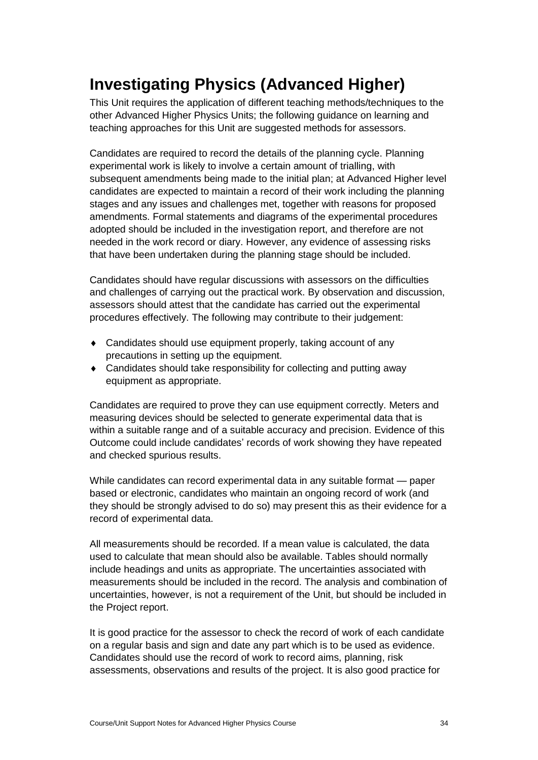# **Investigating Physics (Advanced Higher)**

This Unit requires the application of different teaching methods/techniques to the other Advanced Higher Physics Units; the following guidance on learning and teaching approaches for this Unit are suggested methods for assessors.

Candidates are required to record the details of the planning cycle. Planning experimental work is likely to involve a certain amount of trialling, with subsequent amendments being made to the initial plan; at Advanced Higher level candidates are expected to maintain a record of their work including the planning stages and any issues and challenges met, together with reasons for proposed amendments. Formal statements and diagrams of the experimental procedures adopted should be included in the investigation report, and therefore are not needed in the work record or diary. However, any evidence of assessing risks that have been undertaken during the planning stage should be included.

Candidates should have regular discussions with assessors on the difficulties and challenges of carrying out the practical work. By observation and discussion, assessors should attest that the candidate has carried out the experimental procedures effectively. The following may contribute to their judgement:

- Candidates should use equipment properly, taking account of any precautions in setting up the equipment.
- Candidates should take responsibility for collecting and putting away equipment as appropriate.

Candidates are required to prove they can use equipment correctly. Meters and measuring devices should be selected to generate experimental data that is within a suitable range and of a suitable accuracy and precision. Evidence of this Outcome could include candidates' records of work showing they have repeated and checked spurious results.

While candidates can record experimental data in any suitable format — paper based or electronic, candidates who maintain an ongoing record of work (and they should be strongly advised to do so) may present this as their evidence for a record of experimental data.

All measurements should be recorded. If a mean value is calculated, the data used to calculate that mean should also be available. Tables should normally include headings and units as appropriate. The uncertainties associated with measurements should be included in the record. The analysis and combination of uncertainties, however, is not a requirement of the Unit, but should be included in the Project report.

It is good practice for the assessor to check the record of work of each candidate on a regular basis and sign and date any part which is to be used as evidence. Candidates should use the record of work to record aims, planning, risk assessments, observations and results of the project. It is also good practice for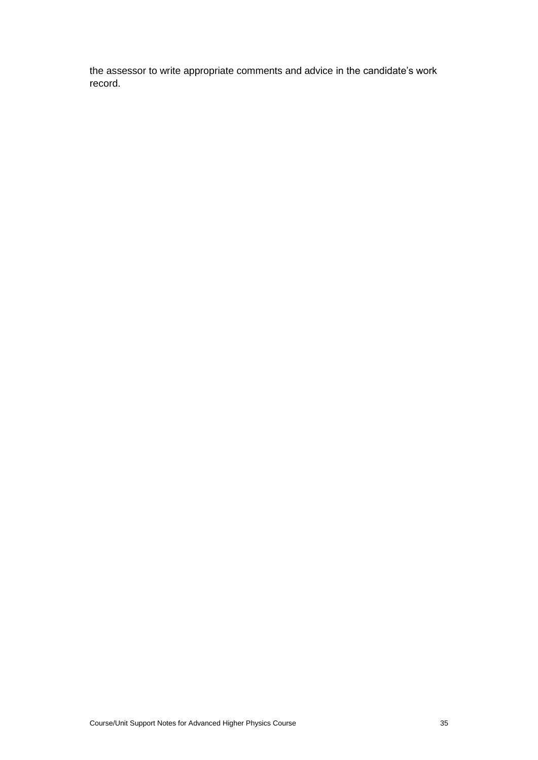the assessor to write appropriate comments and advice in the candidate's work record.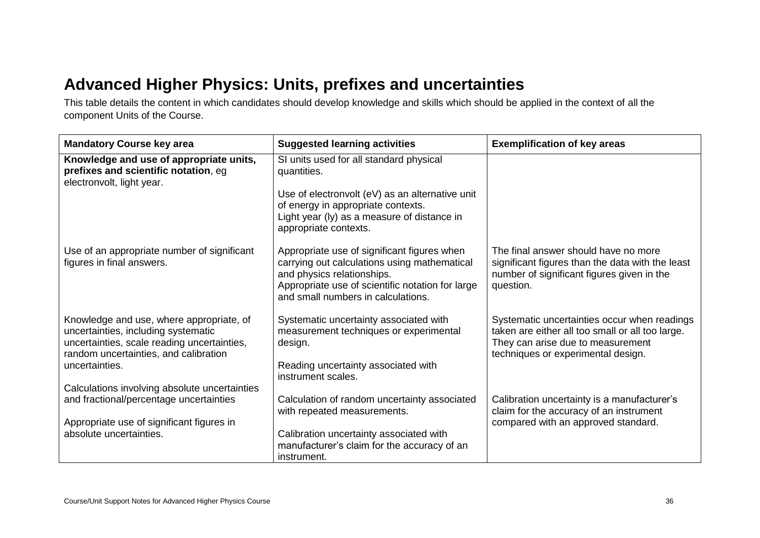# **Advanced Higher Physics: Units, prefixes and uncertainties**

This table details the content in which candidates should develop knowledge and skills which should be applied in the context of all the component Units of the Course.

| <b>Mandatory Course key area</b>                                                                                                                                                          | <b>Suggested learning activities</b>                                                                                                                                                                                    | <b>Exemplification of key areas</b>                                                                                                                                         |
|-------------------------------------------------------------------------------------------------------------------------------------------------------------------------------------------|-------------------------------------------------------------------------------------------------------------------------------------------------------------------------------------------------------------------------|-----------------------------------------------------------------------------------------------------------------------------------------------------------------------------|
| Knowledge and use of appropriate units,<br>prefixes and scientific notation, eg<br>electronvolt, light year.                                                                              | SI units used for all standard physical<br>quantities.<br>Use of electronvolt (eV) as an alternative unit<br>of energy in appropriate contexts.<br>Light year (ly) as a measure of distance in<br>appropriate contexts. |                                                                                                                                                                             |
| Use of an appropriate number of significant<br>figures in final answers.                                                                                                                  | Appropriate use of significant figures when<br>carrying out calculations using mathematical<br>and physics relationships.<br>Appropriate use of scientific notation for large<br>and small numbers in calculations.     | The final answer should have no more<br>significant figures than the data with the least<br>number of significant figures given in the<br>question.                         |
| Knowledge and use, where appropriate, of<br>uncertainties, including systematic<br>uncertainties, scale reading uncertainties,<br>random uncertainties, and calibration<br>uncertainties. | Systematic uncertainty associated with<br>measurement techniques or experimental<br>design.<br>Reading uncertainty associated with<br>instrument scales.                                                                | Systematic uncertainties occur when readings<br>taken are either all too small or all too large.<br>They can arise due to measurement<br>techniques or experimental design. |
| Calculations involving absolute uncertainties<br>and fractional/percentage uncertainties<br>Appropriate use of significant figures in<br>absolute uncertainties.                          | Calculation of random uncertainty associated<br>with repeated measurements.<br>Calibration uncertainty associated with<br>manufacturer's claim for the accuracy of an<br>instrument.                                    | Calibration uncertainty is a manufacturer's<br>claim for the accuracy of an instrument<br>compared with an approved standard.                                               |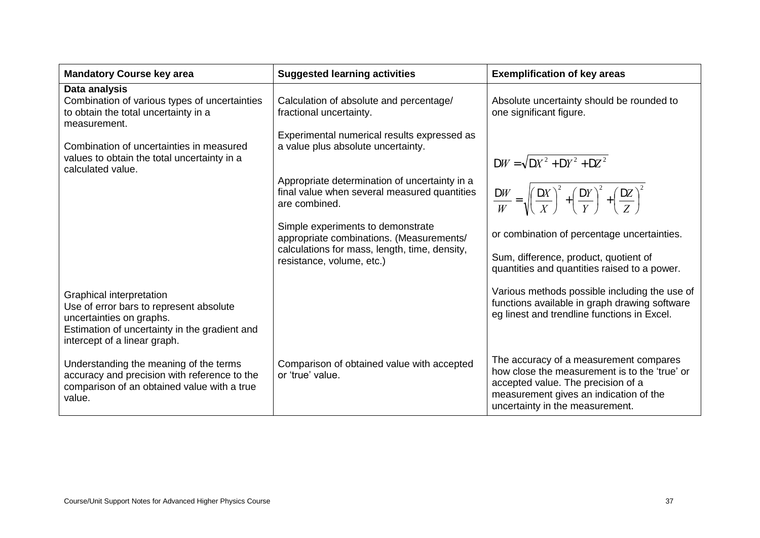| <b>Mandatory Course key area</b>                                                                                                                                                 | <b>Suggested learning activities</b>                                                                                           | <b>Exemplification of key areas</b>                                                                                                                                                                        |  |  |
|----------------------------------------------------------------------------------------------------------------------------------------------------------------------------------|--------------------------------------------------------------------------------------------------------------------------------|------------------------------------------------------------------------------------------------------------------------------------------------------------------------------------------------------------|--|--|
| Data analysis<br>Combination of various types of uncertainties<br>to obtain the total uncertainty in a<br>measurement.                                                           | Calculation of absolute and percentage/<br>fractional uncertainty.                                                             | Absolute uncertainty should be rounded to<br>one significant figure.                                                                                                                                       |  |  |
| Combination of uncertainties in measured<br>values to obtain the total uncertainty in a<br>calculated value.                                                                     | Experimental numerical results expressed as<br>a value plus absolute uncertainty.                                              | $DW = \sqrt{DX^2 + DY^2 + DZ^2}$                                                                                                                                                                           |  |  |
|                                                                                                                                                                                  | Appropriate determination of uncertainty in a<br>final value when several measured quantities<br>are combined.                 | $\frac{DW}{W} = \sqrt{\left(\frac{DX}{X}\right)^2 + \left(\frac{DY}{Y}\right)^2 + \left(\frac{DZ}{Z}\right)^2}$                                                                                            |  |  |
|                                                                                                                                                                                  | Simple experiments to demonstrate<br>appropriate combinations. (Measurements/<br>calculations for mass, length, time, density, | or combination of percentage uncertainties.<br>Sum, difference, product, quotient of                                                                                                                       |  |  |
|                                                                                                                                                                                  | resistance, volume, etc.)                                                                                                      | quantities and quantities raised to a power.                                                                                                                                                               |  |  |
| Graphical interpretation<br>Use of error bars to represent absolute<br>uncertainties on graphs.<br>Estimation of uncertainty in the gradient and<br>intercept of a linear graph. |                                                                                                                                | Various methods possible including the use of<br>functions available in graph drawing software<br>eg linest and trendline functions in Excel.                                                              |  |  |
| Understanding the meaning of the terms<br>accuracy and precision with reference to the<br>comparison of an obtained value with a true<br>value.                                  | Comparison of obtained value with accepted<br>or 'true' value.                                                                 | The accuracy of a measurement compares<br>how close the measurement is to the 'true' or<br>accepted value. The precision of a<br>measurement gives an indication of the<br>uncertainty in the measurement. |  |  |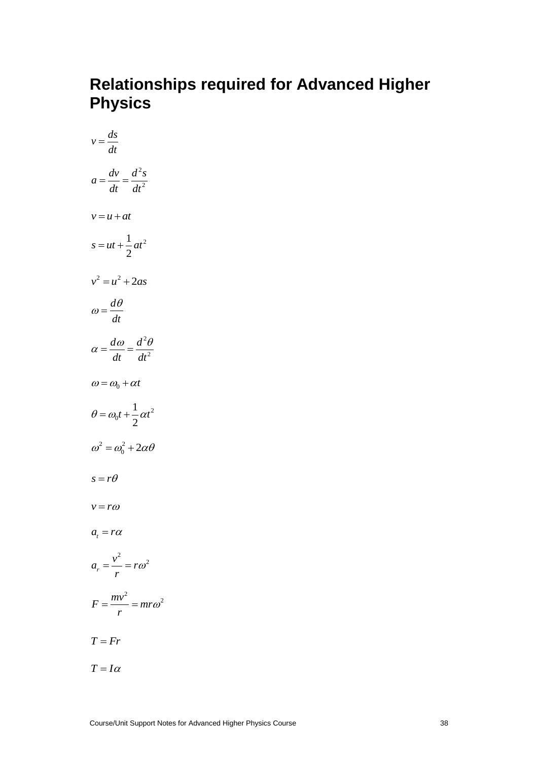# **Relationships required for Advanced Higher Physics**

$$
v = \frac{ds}{dt}
$$
  
\n
$$
a = \frac{dv}{dt} = \frac{d^2s}{dt^2}
$$
  
\n
$$
v = u + at
$$
  
\n
$$
s = ut + \frac{1}{2}at^2
$$
  
\n
$$
v^2 = u^2 + 2as
$$
  
\n
$$
\omega = \frac{d\theta}{dt}
$$
  
\n
$$
\alpha = \frac{d\omega}{dt} = \frac{d^2\theta}{dt^2}
$$
  
\n
$$
\omega = \omega_0 + \alpha t
$$
  
\n
$$
\theta = \omega_0 t + \frac{1}{2}\alpha t^2
$$
  
\n
$$
\omega^2 = \omega_0^2 + 2\alpha\theta
$$
  
\n
$$
s = r\theta
$$
  
\n
$$
v = r\omega
$$
  
\n
$$
a_r = \frac{v^2}{r} = r\omega^2
$$
  
\n
$$
F = \frac{mv^2}{r} = mr\omega^2
$$
  
\n
$$
T = Fr
$$
  
\n
$$
T = I\alpha
$$
  
\n
$$
T = I\alpha
$$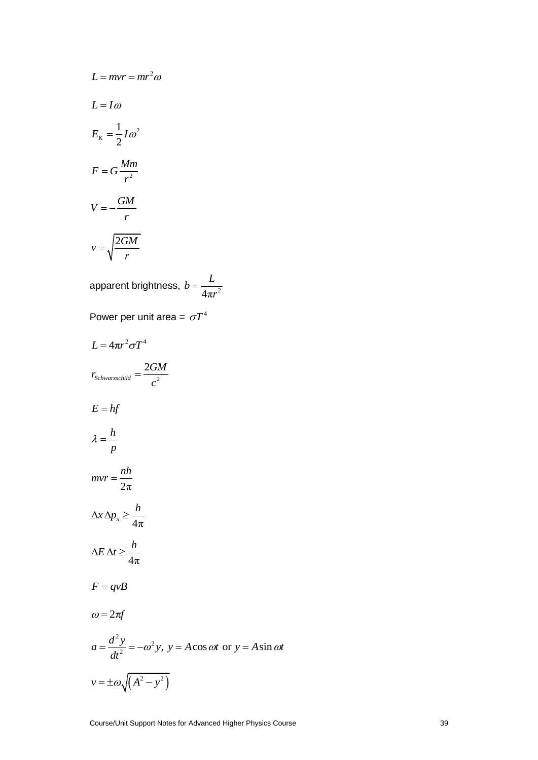$$
L = mvr = mr^{2}\omega
$$
  
\n
$$
L = I\omega
$$
  
\n
$$
E_{K} = \frac{1}{2}I\omega^{2}
$$
  
\n
$$
F = G\frac{Mm}{r^{2}}
$$
  
\n
$$
V = -\frac{GM}{r}
$$
  
\n
$$
v = \sqrt{\frac{2GM}{r}}
$$

apparent brightness,  $b = \frac{E}{4\pi r^2}$  $b = \frac{L}{A}$ *r*  $=$ 

Power per unit area =  $\sigma T^4$ 

L = mvr = mr<sup>2</sup>ω  
\nL = Iω  
\nE<sub>x</sub> = 
$$
\frac{1}{2}
$$
 Iω<sup>2</sup>  
\nF = G  $\frac{Mm}{r^2}$   
\nV =  $\sqrt{\frac{2GM}{r}}$   
\napparent brightness,  $b = \frac{L}{4\pi r^2}$   
\nPower per unit area =  $\sigma T^4$   
\nL =  $4\pi r^2 \sigma T^4$   
\n $r_{s,thurcycoldid} = \frac{2GM}{c^2}$   
\nE = hf  
\n $\lambda = \frac{h}{p}$   
\n $\lambda r \Delta p_x \ge \frac{h}{4\pi}$   
\nAE At  $\lambda \ge \frac{h}{4\pi}$   
\n $F = qvB$   
\n $\omega = 2\pi f$   
\n $a = \frac{d^2 y}{dt^2} = -\omega^2 y$ ,  $y = A \cos \omega t$  or  $y = A \sin \omega t$   
\n $v = \pm \omega \sqrt{(A^2 - y^2)}$   
\n $\text{Quars (L) in Super Motes for Advanced Higher Physics Course)}$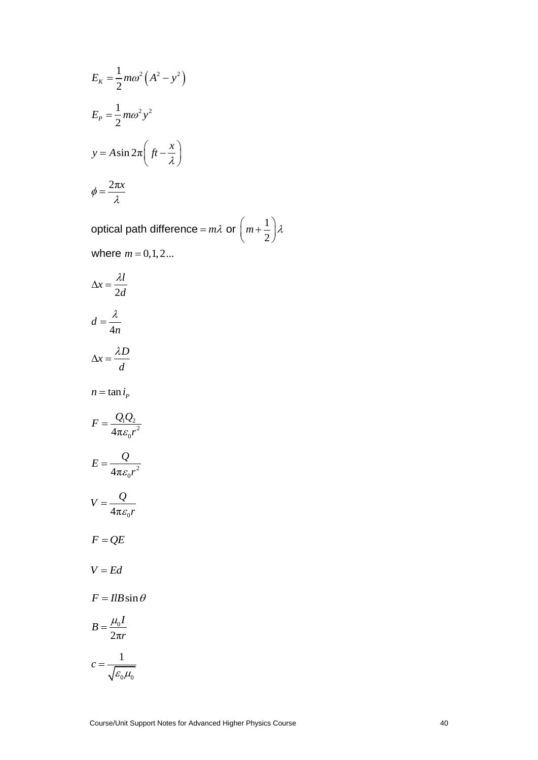$$
E_K = \frac{1}{2} m\omega^2 (A^2 - y^2)
$$
  
\n
$$
E_P = \frac{1}{2} m\omega^2 y^2
$$
  
\n
$$
y = A \sin 2\pi (f t - \frac{x}{\lambda})
$$
  
\n
$$
\phi = \frac{2\pi x}{\lambda}
$$

1 optical path difference =  $m\lambda$  or  $\left(m + \frac{1}{2}\right)\lambda$ where  $m = 0, 1, 2...$ 

$$
E_{E} = \frac{1}{2} m\omega^{2} y^{2}
$$
  
\n
$$
E_{P} = \frac{1}{2} m\omega^{2} y^{2}
$$
  
\n
$$
y = A \sin 2\pi \left( f t - \frac{x}{\lambda} \right)
$$
  
\n
$$
\phi = \frac{2\pi x}{\lambda}
$$
  
\noptical path difference =  $m\lambda$  or  $\left( m + \frac{1}{2} \right) \lambda$   
\nwhere  $m = 0, 1, 2...$   
\n
$$
\Delta x = \frac{\lambda l}{2d}
$$
  
\n
$$
d = \frac{\lambda}{4n}
$$
  
\n
$$
\Delta x = \frac{\lambda D}{d}
$$
  
\n
$$
n = \tan i_{P}
$$
  
\n
$$
F = \frac{Q_{1}Q_{2}}{4\pi \epsilon_{0}r^{2}}
$$
  
\n
$$
V = \frac{Q}{4\pi \epsilon_{0}r^{2}}
$$
  
\n
$$
V = \frac{Q}{4\pi \epsilon_{0}r}
$$
  
\n
$$
F = QE
$$
  
\n
$$
V = Ed
$$
  
\n
$$
F = IIB \sin \theta
$$
  
\n
$$
B = \frac{\mu_{0}l}{2\pi r}
$$
  
\n
$$
c = \frac{1}{\sqrt{\epsilon_{0} \mu_{0}}}
$$
  
\n
$$
C^{OUTB QCDI N R QDQD T N R QDQ D T N R QDQ D T N R QDQ D T N QDQ D T N QDQ D T N QDQ D T N QDQ D T N QDQ D T N QDQ D T N QDQ D T N QDQ D T N QDQ D T N QDQ D T N QDQ D T N QDQ D T N QDQ D T N QD Q D T N QD Q D T N QD Q D T N QD Q D T N QD Q D T N QD Q D T N QD Q D T N QD Q D T N QD Q D T N QD Q D T N QD Q D T N QD Q D T N QD Q D T N QD Q D T N QD Q D T N QD Q D T N QD Q D T N QD Q D T N QD Q D T N QD Q D T N QD Q D T N QD Q D T N QD Q D T N QD Q D T N QD Q D T N QD Q D T N QD Q D T N QD Q D T N QD Q D
$$

$$
c = \frac{1}{\sqrt{\varepsilon_0 \mu_0}}
$$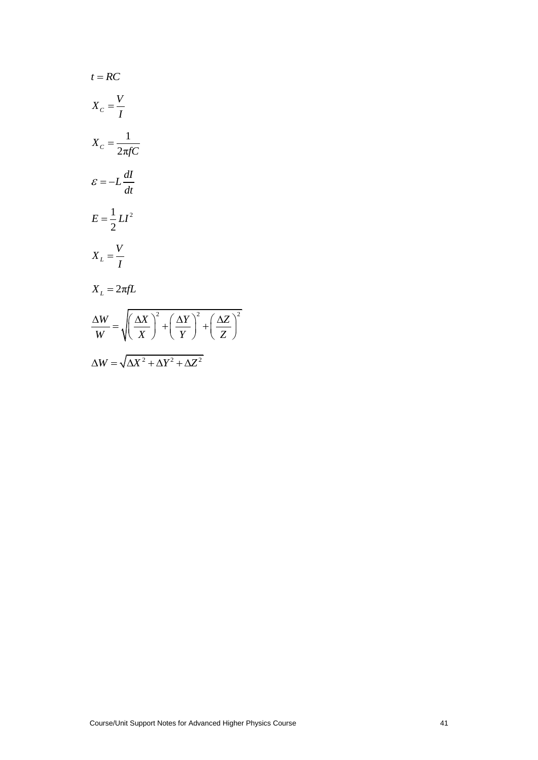$$
t = RC
$$
  
\n
$$
X_c = \frac{V}{I}
$$
  
\n
$$
X_c = \frac{1}{2\pi fC}
$$
  
\n
$$
\mathcal{E} = -L\frac{dI}{dt}
$$
  
\n
$$
E = \frac{1}{2}LI^2
$$
  
\n
$$
X_L = 2\pi fL
$$
  
\n
$$
\frac{\Delta W}{W} = \sqrt{\left(\frac{\Delta X}{X}\right)^2 + \left(\frac{\Delta Y}{Y}\right)^2 + \left(\frac{\Delta Z}{Z}\right)^2}
$$
  
\n
$$
\Delta W = \sqrt{\Delta X^2 + \Delta Y^2 + \Delta Z^2}
$$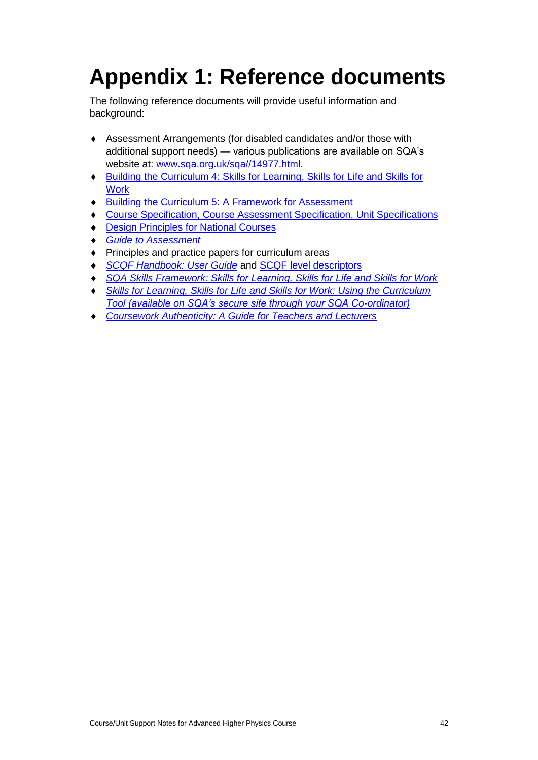# <span id="page-43-0"></span>**Appendix 1: Reference documents**

The following reference documents will provide useful information and background:

- Assessment Arrangements (for disabled candidates and/or those with additional support needs) — various publications are available on SQA's website at: [www.sqa.org.uk/sqa//14977.html.](http://www.sqa.org.uk/sqa/14977.html)
- Building the Curriculum [4: Skills for Learning, Skills for Life and Skills for](http://www.educationscotland.gov.uk/learningandteaching/thecurriculum/buildingyourcurriculum/curriculumplanning/whatisbuildingyourcurriculum/btc/btc4.asp)  **[Work](http://www.educationscotland.gov.uk/learningandteaching/thecurriculum/buildingyourcurriculum/curriculumplanning/whatisbuildingyourcurriculum/btc/btc4.asp)**
- **+** [Building the Curriculum 5: A Framework for Assessment](http://www.educationscotland.gov.uk/learningandteaching/thecurriculum/buildingyourcurriculum/curriculumplanning/whatisbuildingyourcurriculum/btc/btc5.asp)
- Course Specification, [Course Assessment Specification, Unit Specifications](http://www.sqa.org.uk/browsecfesubjects/)
- ◆ **[Design Principles for National Courses](http://www.sqa.org.uk/files_ccc/DesignPrinciplesNationalCourses.pdf)**
- *[Guide to Assessment](http://www.sqa.org.uk/sqa/files_ccc/25GuideToAssessment.pdf)*
- ◆ Principles and practice papers for curriculum areas
- *[SCQF Handbook: User Guide](http://www.scqf.org.uk/content/files/resources/SCQF_handbook_FULL_-_amended_Dec_09.pdf)* and [SCQF level descriptors](http://www.sqa.org.uk/sqa/4595.html)
- *[SQA Skills Framework: Skills for Learning, Skills for Life and Skills for Work](http://www.sqa.org.uk/sqa/files_ccc/skills_for_learning_life_and_work_framework_final.pdf)*
- **Skills for Learning, Skills for Life and Skills for Work: Using the Curriculum** *[Tool \(available on SQA's secure site through your SQA Co-ordinator\)](http://www.sqa.org.uk/sqa/63101.html)*
- *[Coursework Authenticity: A Guide for Teachers and Lecturers](http://www.sqa.org.uk/files_ccc/CourseworkAuthenticityAug09.pdf)*